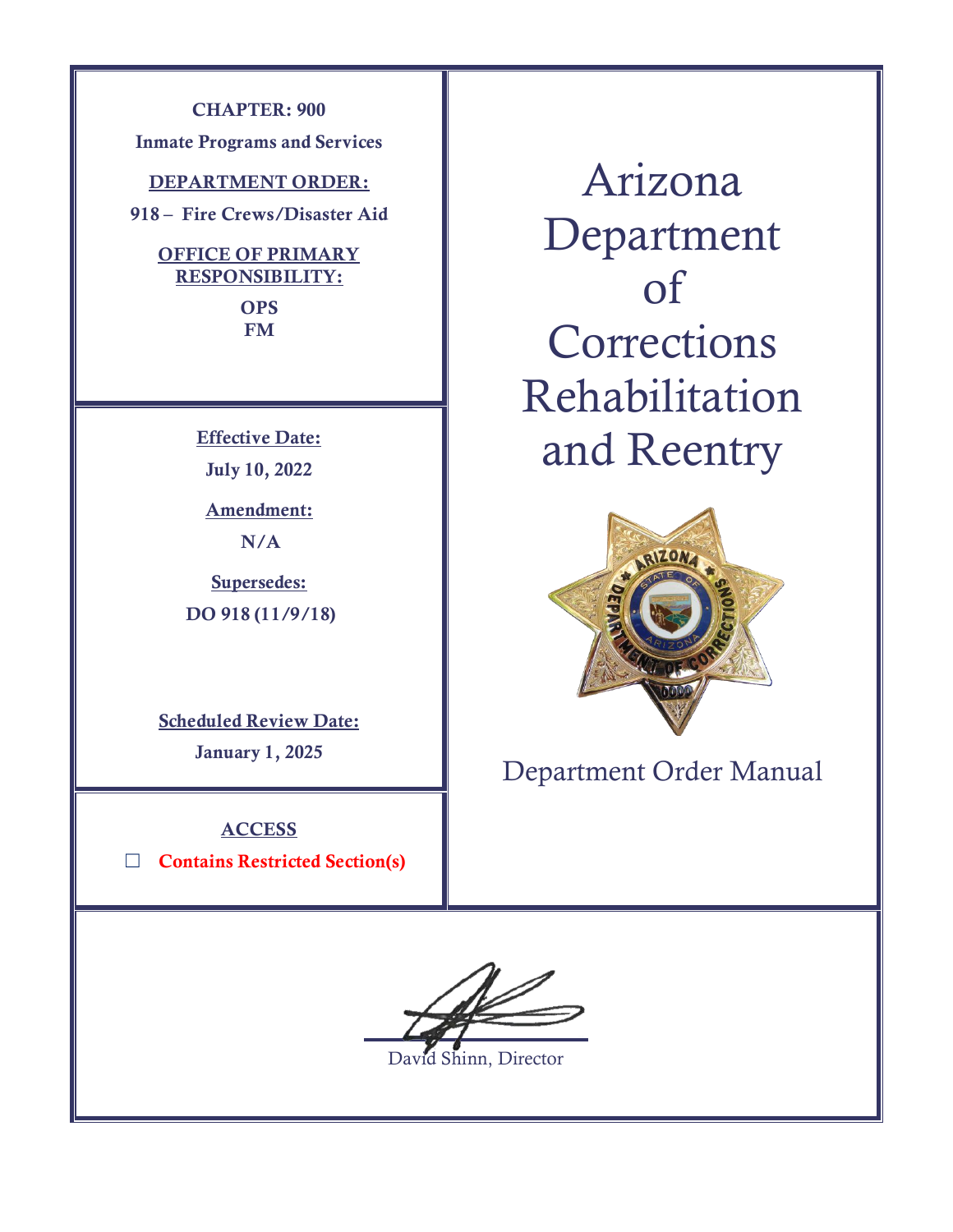**CHAPTER: 900**

**Inmate Programs and Services**

**DEPARTMENT ORDER:**

**918 – Fire Crews/Disaster Aid**

## **OFFICE OF PRIMARY RESPONSIBILITY:**

**OPS FM**

**Effective Date: July 10, 2022**

**Amendment: N/A**

**Supersedes: DO 918 (11/9/18)**

**Scheduled Review Date: January 1, 2025**

**ACCESS**

☐ **Contains Restricted Section(s)**

Arizona Department of **Corrections** Rehabilitation and Reentry



Department Order Manual

David Shinn, Director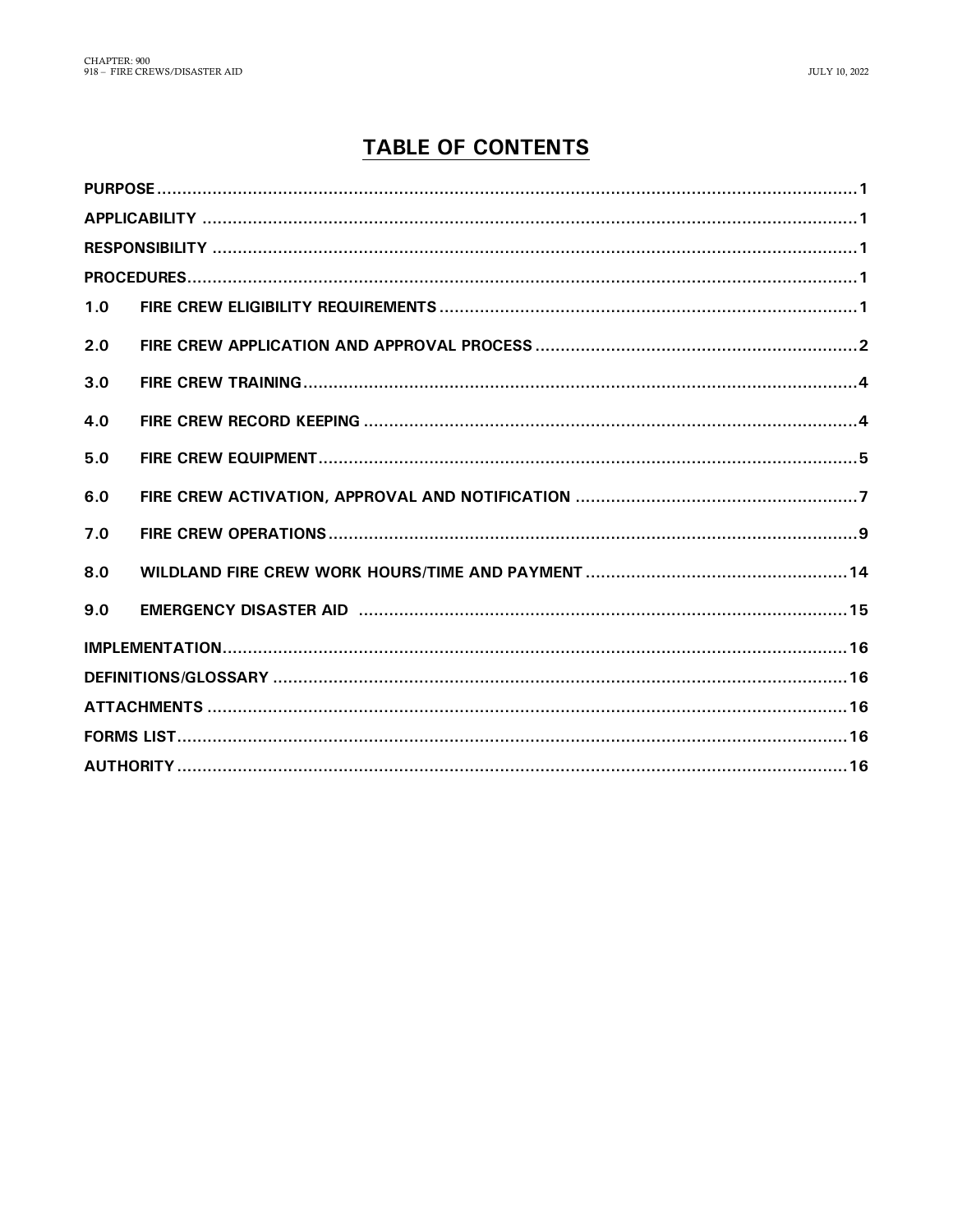# **TABLE OF CONTENTS**

| 1.0 |  |  |  |  |  |
|-----|--|--|--|--|--|
| 2.0 |  |  |  |  |  |
| 3.0 |  |  |  |  |  |
| 4.0 |  |  |  |  |  |
| 5.0 |  |  |  |  |  |
| 6.0 |  |  |  |  |  |
| 7.0 |  |  |  |  |  |
| 8.0 |  |  |  |  |  |
| 9.0 |  |  |  |  |  |
|     |  |  |  |  |  |
|     |  |  |  |  |  |
|     |  |  |  |  |  |
|     |  |  |  |  |  |
|     |  |  |  |  |  |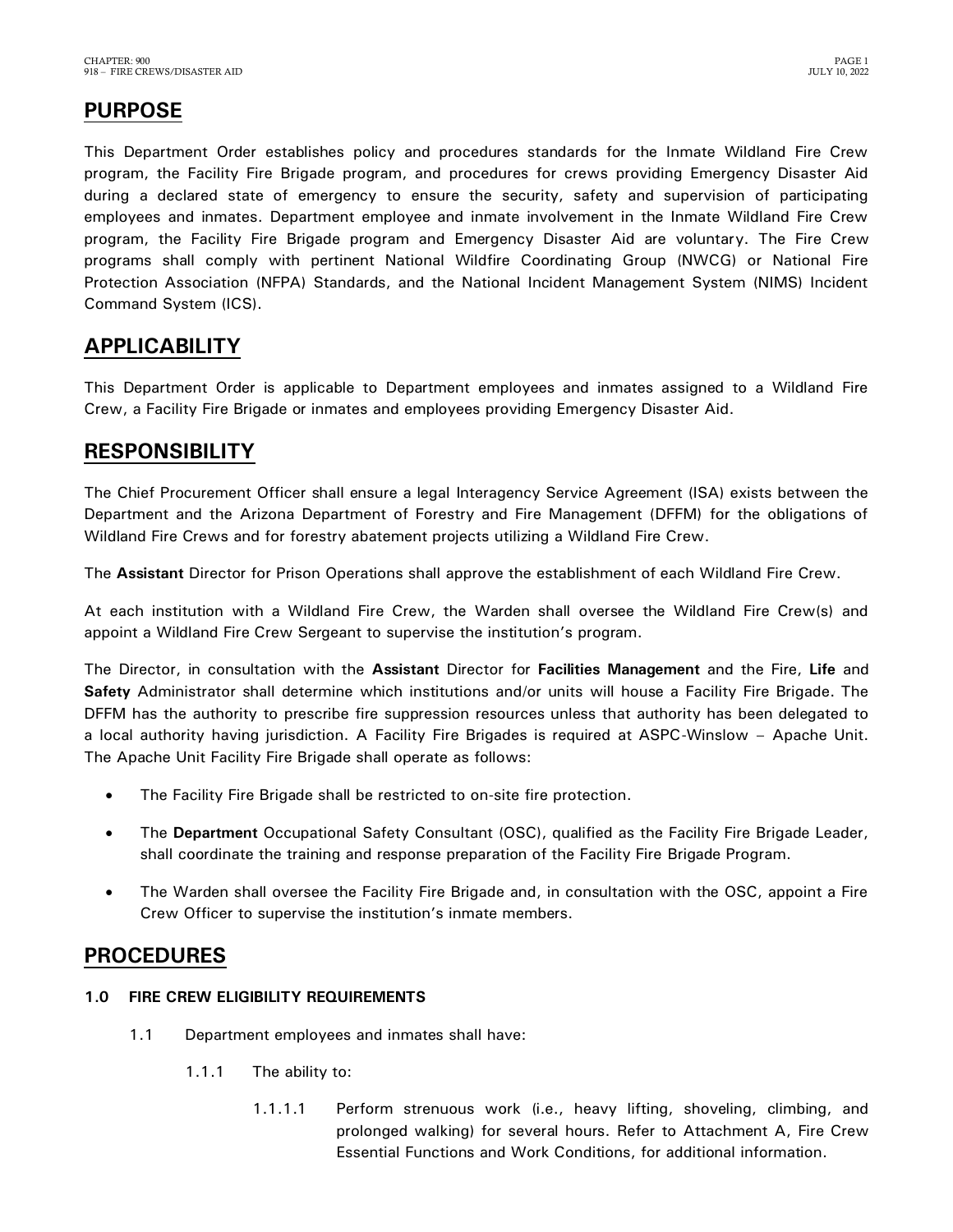# <span id="page-2-0"></span>**PURPOSE**

This Department Order establishes policy and procedures standards for the Inmate Wildland Fire Crew program, the Facility Fire Brigade program, and procedures for crews providing Emergency Disaster Aid during a declared state of emergency to ensure the security, safety and supervision of participating employees and inmates. Department employee and inmate involvement in the Inmate Wildland Fire Crew program, the Facility Fire Brigade program and Emergency Disaster Aid are voluntary. The Fire Crew programs shall comply with pertinent National Wildfire Coordinating Group (NWCG) or National Fire Protection Association (NFPA) Standards, and the National Incident Management System (NIMS) Incident Command System (ICS).

## <span id="page-2-1"></span>**APPLICABILITY**

This Department Order is applicable to Department employees and inmates assigned to a Wildland Fire Crew, a Facility Fire Brigade or inmates and employees providing Emergency Disaster Aid.

## **RESPONSIBILITY**

The Chief Procurement Officer shall ensure a legal Interagency Service Agreement (ISA) exists between the Department and the Arizona Department of Forestry and Fire Management (DFFM) for the obligations of Wildland Fire Crews and for forestry abatement projects utilizing a Wildland Fire Crew.

The **Assistant** Director for Prison Operations shall approve the establishment of each Wildland Fire Crew.

At each institution with a Wildland Fire Crew, the Warden shall oversee the Wildland Fire Crew(s) and appoint a Wildland Fire Crew Sergeant to supervise the institution's program.

The Director, in consultation with the **Assistant** Director for **Facilities Management** and the Fire, **Life** and **Safety** Administrator shall determine which institutions and/or units will house a Facility Fire Brigade. The DFFM has the authority to prescribe fire suppression resources unless that authority has been delegated to a local authority having jurisdiction. A Facility Fire Brigades is required at ASPC-Winslow – Apache Unit. The Apache Unit Facility Fire Brigade shall operate as follows:

- The Facility Fire Brigade shall be restricted to on-site fire protection.
- The **Department** Occupational Safety Consultant (OSC), qualified as the Facility Fire Brigade Leader, shall coordinate the training and response preparation of the Facility Fire Brigade Program.
- The Warden shall oversee the Facility Fire Brigade and, in consultation with the OSC, appoint a Fire Crew Officer to supervise the institution's inmate members.

## <span id="page-2-2"></span>**PROCEDURES**

- <span id="page-2-3"></span>**1.0 FIRE CREW ELIGIBILITY REQUIREMENTS**
	- 1.1 Department employees and inmates shall have:
		- 1.1.1 The ability to:
			- 1.1.1.1 Perform strenuous work (i.e., heavy lifting, shoveling, climbing, and prolonged walking) for several hours. Refer to Attachment A, Fire Crew Essential Functions and Work Conditions, for additional information.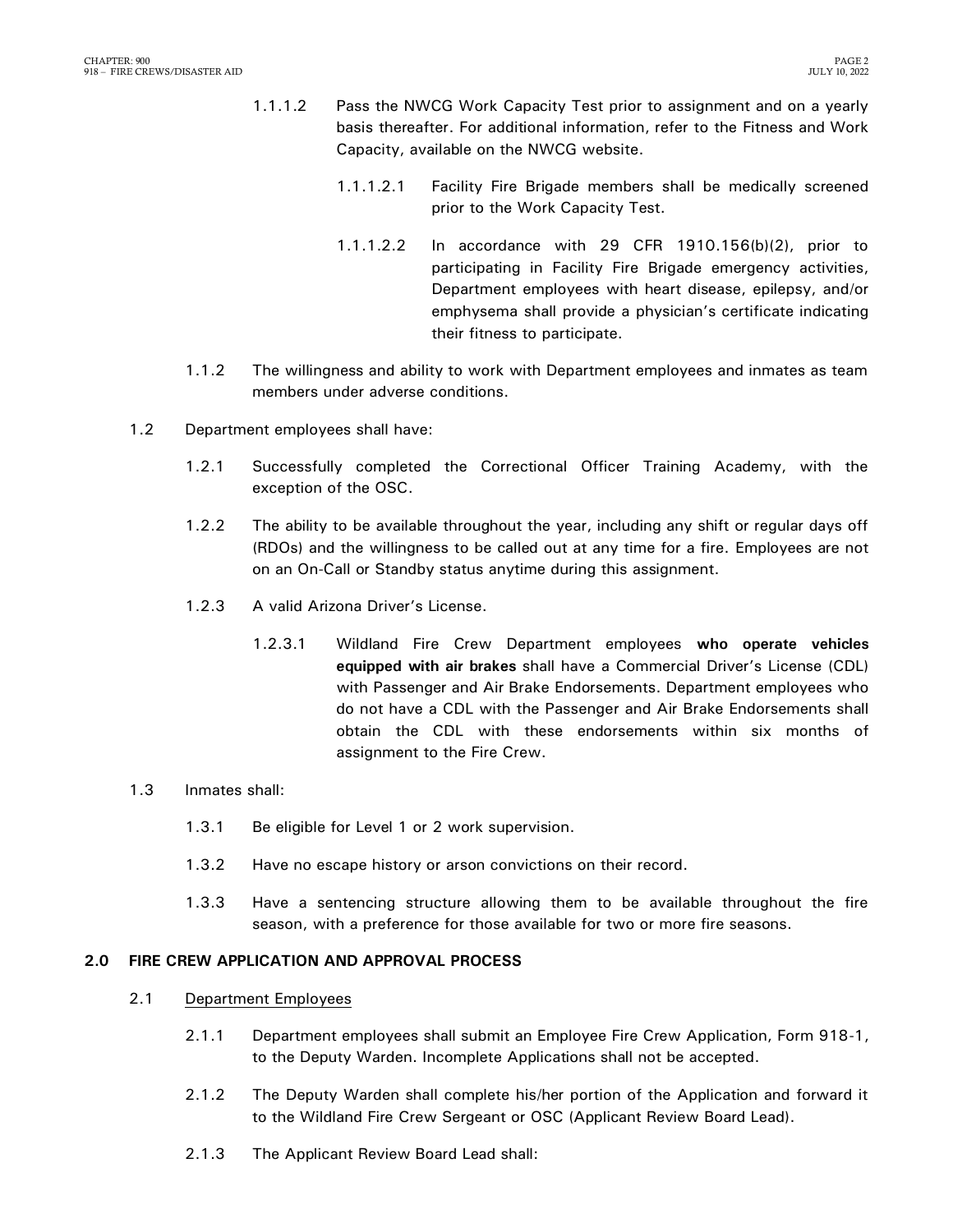- 1.1.1.2 Pass the NWCG Work Capacity Test prior to assignment and on a yearly basis thereafter. For additional information, refer to the Fitness and Work Capacity, available on the NWCG website.
	- 1.1.1.2.1 Facility Fire Brigade members shall be medically screened prior to the Work Capacity Test.
	- 1.1.1.2.2 In accordance with 29 CFR 1910.156(b)(2), prior to participating in Facility Fire Brigade emergency activities, Department employees with heart disease, epilepsy, and/or emphysema shall provide a physician's certificate indicating their fitness to participate.
- 1.1.2 The willingness and ability to work with Department employees and inmates as team members under adverse conditions.
- 1.2 Department employees shall have:
	- 1.2.1 Successfully completed the Correctional Officer Training Academy, with the exception of the OSC.
	- 1.2.2 The ability to be available throughout the year, including any shift or regular days off (RDOs) and the willingness to be called out at any time for a fire. Employees are not on an On-Call or Standby status anytime during this assignment.
	- 1.2.3 A valid Arizona Driver's License.
		- 1.2.3.1 Wildland Fire Crew Department employees **who operate vehicles equipped with air brakes** shall have a Commercial Driver's License (CDL) with Passenger and Air Brake Endorsements. Department employees who do not have a CDL with the Passenger and Air Brake Endorsements shall obtain the CDL with these endorsements within six months of assignment to the Fire Crew.
- 1.3 Inmates shall:
	- 1.3.1 Be eligible for Level 1 or 2 work supervision.
	- 1.3.2 Have no escape history or arson convictions on their record.
	- 1.3.3 Have a sentencing structure allowing them to be available throughout the fire season, with a preference for those available for two or more fire seasons.

### <span id="page-3-0"></span>**2.0 FIRE CREW APPLICATION AND APPROVAL PROCESS**

- 2.1 Department Employees
	- 2.1.1 Department employees shall submit an Employee Fire Crew Application, Form 918-1, to the Deputy Warden. Incomplete Applications shall not be accepted.
	- 2.1.2 The Deputy Warden shall complete his/her portion of the Application and forward it to the Wildland Fire Crew Sergeant or OSC (Applicant Review Board Lead).
	- 2.1.3 The Applicant Review Board Lead shall: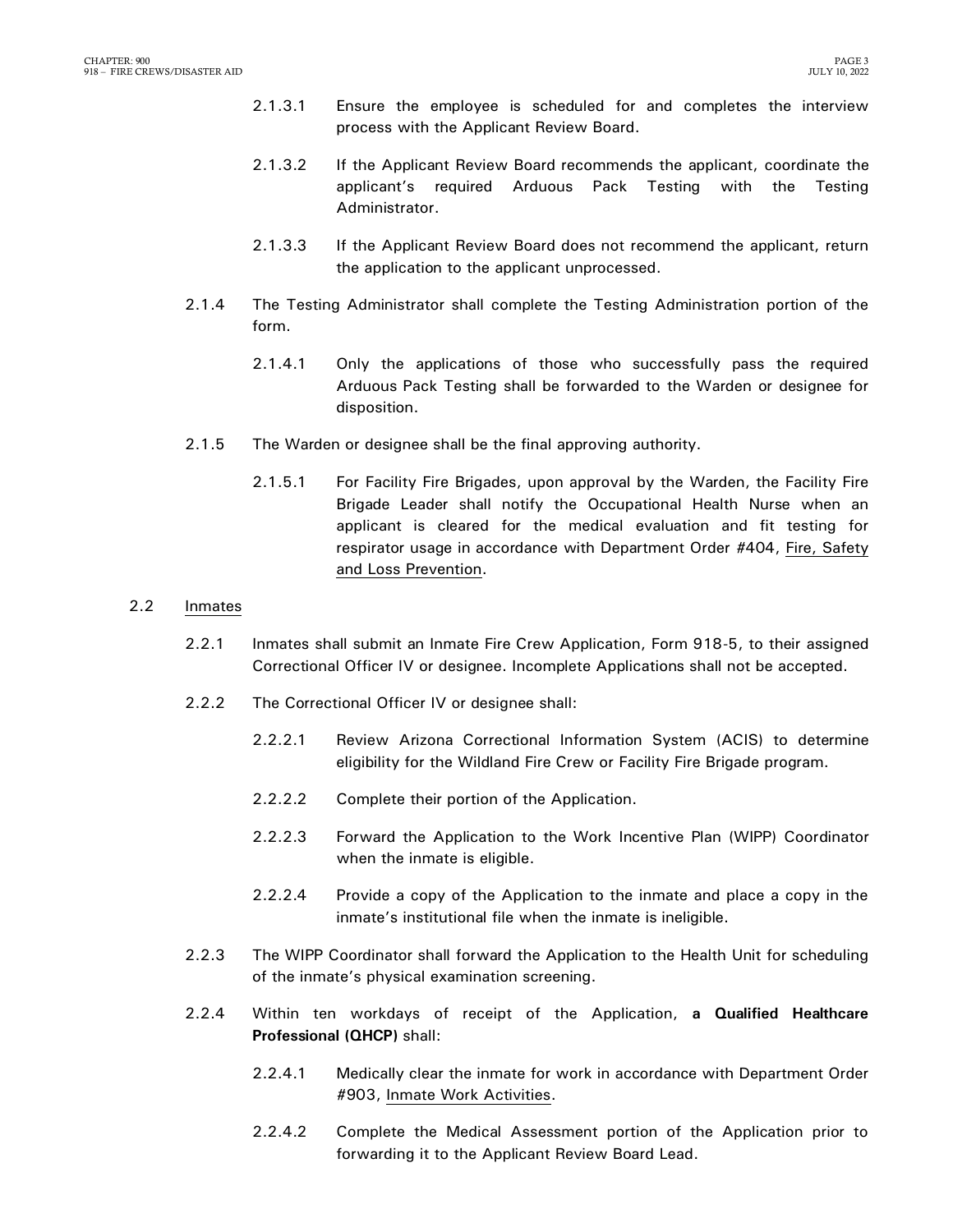- 2.1.3.1 Ensure the employee is scheduled for and completes the interview process with the Applicant Review Board.
- 2.1.3.2 If the Applicant Review Board recommends the applicant, coordinate the applicant's required Arduous Pack Testing with the Testing Administrator.
- 2.1.3.3 If the Applicant Review Board does not recommend the applicant, return the application to the applicant unprocessed.
- 2.1.4 The Testing Administrator shall complete the Testing Administration portion of the form.
	- 2.1.4.1 Only the applications of those who successfully pass the required Arduous Pack Testing shall be forwarded to the Warden or designee for disposition.
- 2.1.5 The Warden or designee shall be the final approving authority.
	- 2.1.5.1 For Facility Fire Brigades, upon approval by the Warden, the Facility Fire Brigade Leader shall notify the Occupational Health Nurse when an applicant is cleared for the medical evaluation and fit testing for respirator usage in accordance with Department Order #404, Fire, Safety and Loss Prevention.

#### 2.2 Inmates

- 2.2.1 Inmates shall submit an Inmate Fire Crew Application, Form 918-5, to their assigned Correctional Officer IV or designee. Incomplete Applications shall not be accepted.
- 2.2.2 The Correctional Officer IV or designee shall:
	- 2.2.2.1 Review Arizona Correctional Information System (ACIS) to determine eligibility for the Wildland Fire Crew or Facility Fire Brigade program.
	- 2.2.2.2 Complete their portion of the Application.
	- 2.2.2.3 Forward the Application to the Work Incentive Plan (WIPP) Coordinator when the inmate is eligible.
	- 2.2.2.4 Provide a copy of the Application to the inmate and place a copy in the inmate's institutional file when the inmate is ineligible.
- 2.2.3 The WIPP Coordinator shall forward the Application to the Health Unit for scheduling of the inmate's physical examination screening.
- 2.2.4 Within ten workdays of receipt of the Application, **a Qualified Healthcare Professional (QHCP)** shall:
	- 2.2.4.1 Medically clear the inmate for work in accordance with Department Order #903, Inmate Work Activities.
	- 2.2.4.2 Complete the Medical Assessment portion of the Application prior to forwarding it to the Applicant Review Board Lead.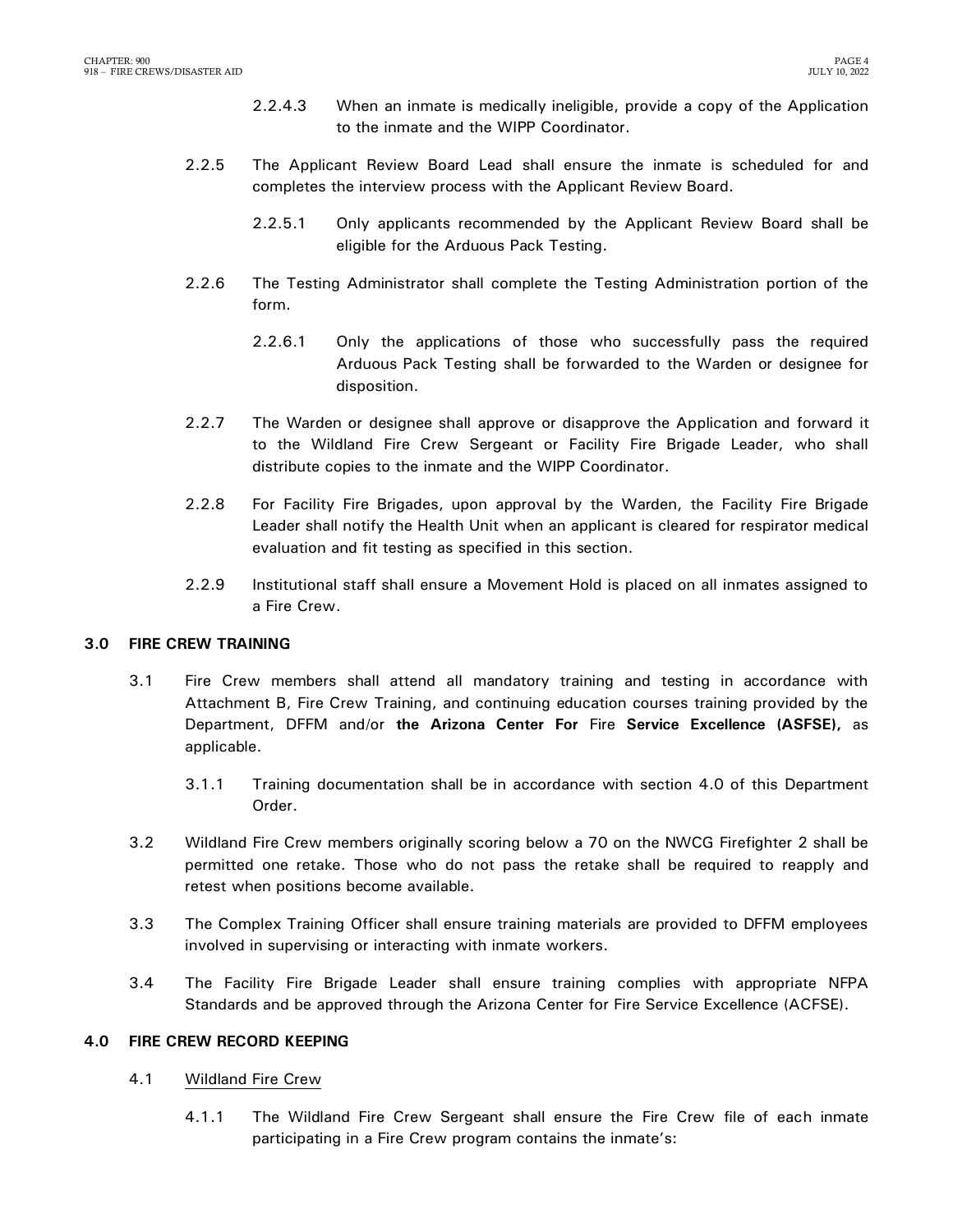- 2.2.4.3 When an inmate is medically ineligible, provide a copy of the Application to the inmate and the WIPP Coordinator.
- 2.2.5 The Applicant Review Board Lead shall ensure the inmate is scheduled for and completes the interview process with the Applicant Review Board.
	- 2.2.5.1 Only applicants recommended by the Applicant Review Board shall be eligible for the Arduous Pack Testing.
- 2.2.6 The Testing Administrator shall complete the Testing Administration portion of the form.
	- 2.2.6.1 Only the applications of those who successfully pass the required Arduous Pack Testing shall be forwarded to the Warden or designee for disposition.
- 2.2.7 The Warden or designee shall approve or disapprove the Application and forward it to the Wildland Fire Crew Sergeant or Facility Fire Brigade Leader, who shall distribute copies to the inmate and the WIPP Coordinator.
- 2.2.8 For Facility Fire Brigades, upon approval by the Warden, the Facility Fire Brigade Leader shall notify the Health Unit when an applicant is cleared for respirator medical evaluation and fit testing as specified in this section.
- 2.2.9 Institutional staff shall ensure a Movement Hold is placed on all inmates assigned to a Fire Crew.

### <span id="page-5-0"></span>**3.0 FIRE CREW TRAINING**

- 3.1 Fire Crew members shall attend all mandatory training and testing in accordance with Attachment B, Fire Crew Training, and continuing education courses training provided by the Department, DFFM and/or **the Arizona Center For** Fire **Service Excellence (ASFSE),** as applicable.
	- 3.1.1 Training documentation shall be in accordance with section 4.0 of this Department Order.
- 3.2 Wildland Fire Crew members originally scoring below a 70 on the NWCG Firefighter 2 shall be permitted one retake. Those who do not pass the retake shall be required to reapply and retest when positions become available.
- 3.3 The Complex Training Officer shall ensure training materials are provided to DFFM employees involved in supervising or interacting with inmate workers.
- 3.4 The Facility Fire Brigade Leader shall ensure training complies with appropriate NFPA Standards and be approved through the Arizona Center for Fire Service Excellence (ACFSE).

### <span id="page-5-1"></span>**4.0 FIRE CREW RECORD KEEPING**

- 4.1 Wildland Fire Crew
	- 4.1.1 The Wildland Fire Crew Sergeant shall ensure the Fire Crew file of each inmate participating in a Fire Crew program contains the inmate's: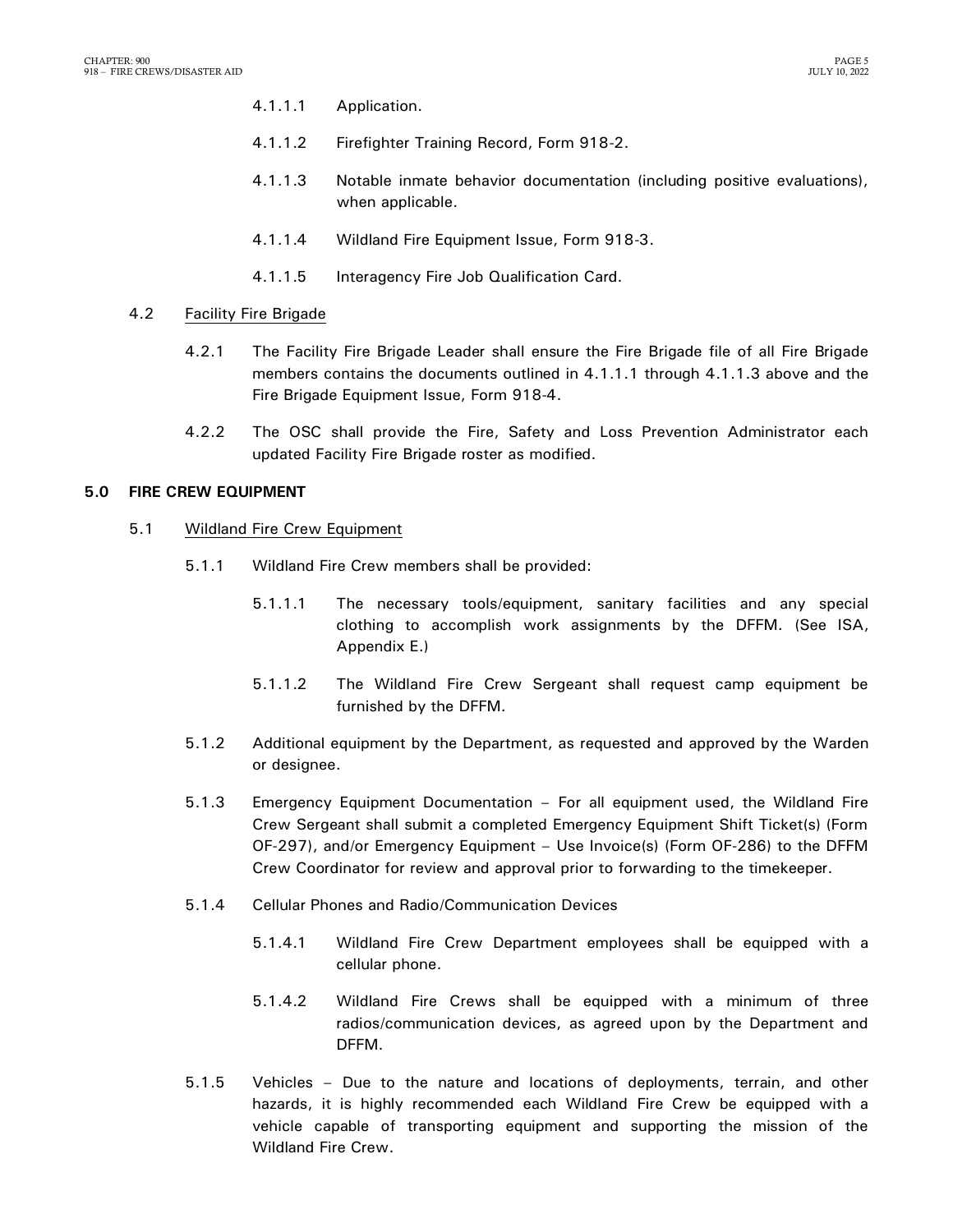- 4.1.1.1 Application.
- 4.1.1.2 Firefighter Training Record, Form 918-2.
- 4.1.1.3 Notable inmate behavior documentation (including positive evaluations), when applicable.
- 4.1.1.4 Wildland Fire Equipment Issue, Form 918-3.
- 4.1.1.5 Interagency Fire Job Qualification Card.

### 4.2 Facility Fire Brigade

- 4.2.1 The Facility Fire Brigade Leader shall ensure the Fire Brigade file of all Fire Brigade members contains the documents outlined in 4.1.1.1 through 4.1.1.3 above and the Fire Brigade Equipment Issue, Form 918-4.
- 4.2.2 The OSC shall provide the Fire, Safety and Loss Prevention Administrator each updated Facility Fire Brigade roster as modified.

### <span id="page-6-0"></span>**5.0 FIRE CREW EQUIPMENT**

- 5.1 Wildland Fire Crew Equipment
	- 5.1.1 Wildland Fire Crew members shall be provided:
		- 5.1.1.1 The necessary tools/equipment, sanitary facilities and any special clothing to accomplish work assignments by the DFFM. (See ISA, Appendix E.)
		- 5.1.1.2 The Wildland Fire Crew Sergeant shall request camp equipment be furnished by the DFFM.
	- 5.1.2 Additional equipment by the Department, as requested and approved by the Warden or designee.
	- 5.1.3 Emergency Equipment Documentation For all equipment used, the Wildland Fire Crew Sergeant shall submit a completed Emergency Equipment Shift Ticket(s) (Form OF-297), and/or Emergency Equipment – Use Invoice(s) (Form OF-286) to the DFFM Crew Coordinator for review and approval prior to forwarding to the timekeeper.
	- 5.1.4 Cellular Phones and Radio/Communication Devices
		- 5.1.4.1 Wildland Fire Crew Department employees shall be equipped with a cellular phone.
		- 5.1.4.2 Wildland Fire Crews shall be equipped with a minimum of three radios/communication devices, as agreed upon by the Department and DFFM.
	- 5.1.5 Vehicles Due to the nature and locations of deployments, terrain, and other hazards, it is highly recommended each Wildland Fire Crew be equipped with a vehicle capable of transporting equipment and supporting the mission of the Wildland Fire Crew.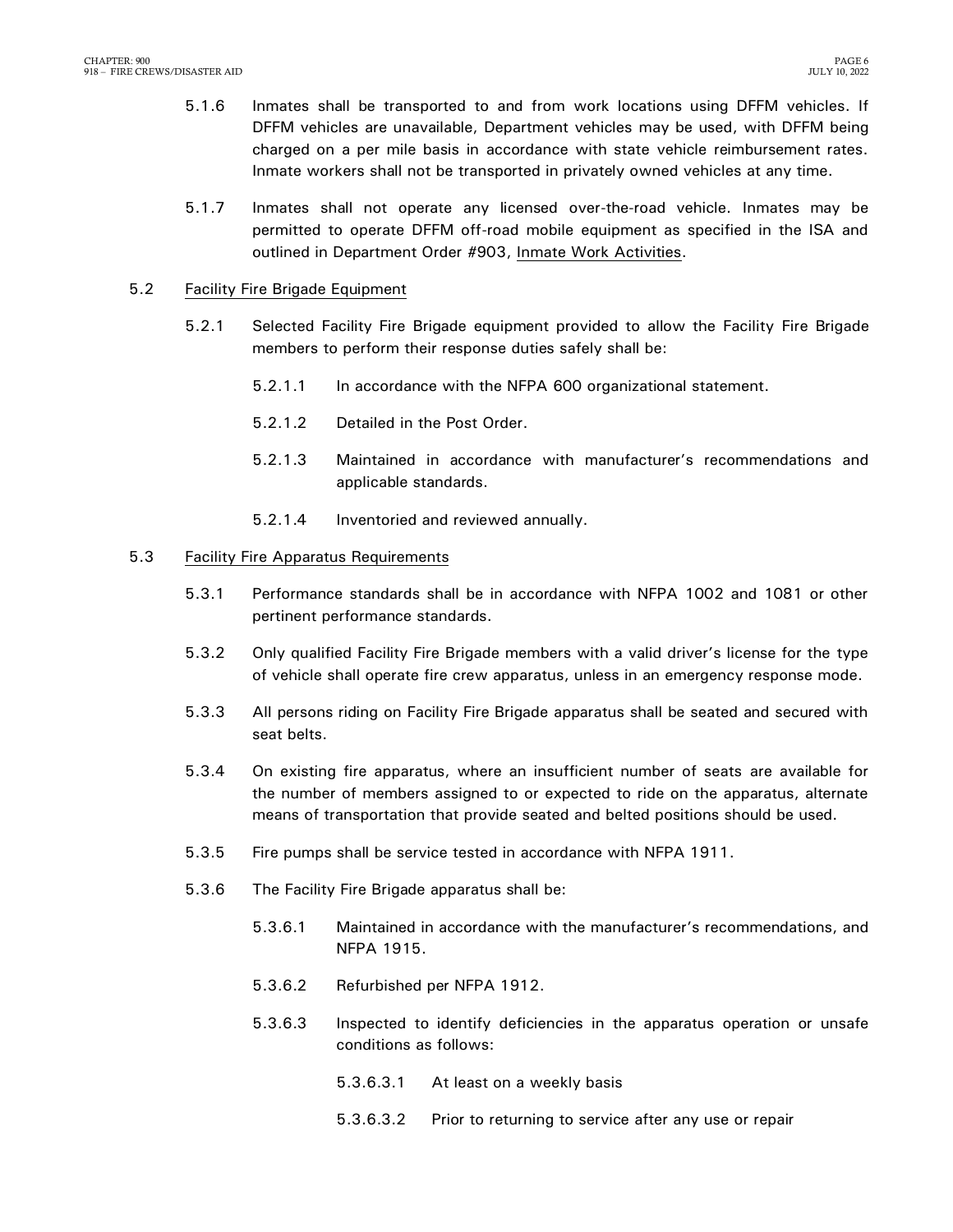- 5.1.6 Inmates shall be transported to and from work locations using DFFM vehicles. If DFFM vehicles are unavailable, Department vehicles may be used, with DFFM being charged on a per mile basis in accordance with state vehicle reimbursement rates. Inmate workers shall not be transported in privately owned vehicles at any time.
- 5.1.7 Inmates shall not operate any licensed over-the-road vehicle. Inmates may be permitted to operate DFFM off-road mobile equipment as specified in the ISA and outlined in Department Order #903, Inmate Work Activities.

#### 5.2 Facility Fire Brigade Equipment

- 5.2.1 Selected Facility Fire Brigade equipment provided to allow the Facility Fire Brigade members to perform their response duties safely shall be:
	- 5.2.1.1 In accordance with the NFPA 600 organizational statement.
	- 5.2.1.2 Detailed in the Post Order.
	- 5.2.1.3 Maintained in accordance with manufacturer's recommendations and applicable standards.
	- 5.2.1.4 Inventoried and reviewed annually.

#### 5.3 Facility Fire Apparatus Requirements

- 5.3.1 Performance standards shall be in accordance with NFPA 1002 and 1081 or other pertinent performance standards.
- 5.3.2 Only qualified Facility Fire Brigade members with a valid driver's license for the type of vehicle shall operate fire crew apparatus, unless in an emergency response mode.
- 5.3.3 All persons riding on Facility Fire Brigade apparatus shall be seated and secured with seat belts.
- 5.3.4 On existing fire apparatus, where an insufficient number of seats are available for the number of members assigned to or expected to ride on the apparatus, alternate means of transportation that provide seated and belted positions should be used.
- 5.3.5 Fire pumps shall be service tested in accordance with NFPA 1911.
- 5.3.6 The Facility Fire Brigade apparatus shall be:
	- 5.3.6.1 Maintained in accordance with the manufacturer's recommendations, and NFPA 1915.
	- 5.3.6.2 Refurbished per NFPA 1912.
	- 5.3.6.3 Inspected to identify deficiencies in the apparatus operation or unsafe conditions as follows:
		- 5.3.6.3.1 At least on a weekly basis
		- 5.3.6.3.2 Prior to returning to service after any use or repair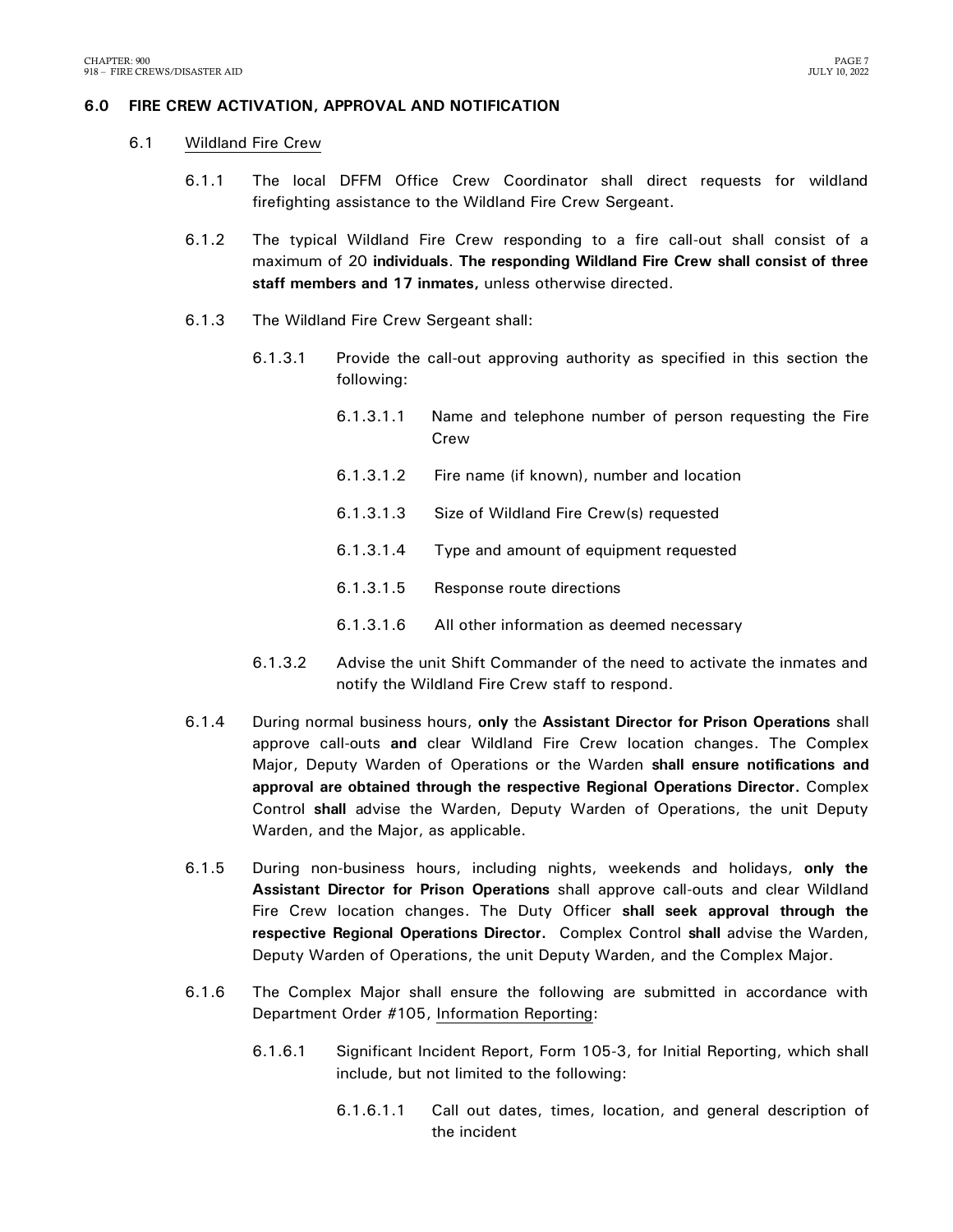## <span id="page-8-0"></span>**6.0 FIRE CREW ACTIVATION, APPROVAL AND NOTIFICATION**

- 6.1 Wildland Fire Crew
	- 6.1.1 The local DFFM Office Crew Coordinator shall direct requests for wildland firefighting assistance to the Wildland Fire Crew Sergeant.
	- 6.1.2 The typical Wildland Fire Crew responding to a fire call-out shall consist of a maximum of 20 **individuals**. **The responding Wildland Fire Crew shall consist of three staff members and 17 inmates,** unless otherwise directed.
	- 6.1.3 The Wildland Fire Crew Sergeant shall:
		- 6.1.3.1 Provide the call-out approving authority as specified in this section the following:
			- 6.1.3.1.1 Name and telephone number of person requesting the Fire Crew
			- 6.1.3.1.2 Fire name (if known), number and location
			- 6.1.3.1.3 Size of Wildland Fire Crew(s) requested
			- 6.1.3.1.4 Type and amount of equipment requested
			- 6.1.3.1.5 Response route directions
			- 6.1.3.1.6 All other information as deemed necessary
		- 6.1.3.2 Advise the unit Shift Commander of the need to activate the inmates and notify the Wildland Fire Crew staff to respond.
	- 6.1.4 During normal business hours, **only** the **Assistant Director for Prison Operations** shall approve call-outs **and** clear Wildland Fire Crew location changes. The Complex Major, Deputy Warden of Operations or the Warden **shall ensure notifications and approval are obtained through the respective Regional Operations Director.** Complex Control **shall** advise the Warden, Deputy Warden of Operations, the unit Deputy Warden, and the Major, as applicable.
	- 6.1.5 During non-business hours, including nights, weekends and holidays, **only the Assistant Director for Prison Operations** shall approve call-outs and clear Wildland Fire Crew location changes. The Duty Officer **shall seek approval through the respective Regional Operations Director.** Complex Control **shall** advise the Warden, Deputy Warden of Operations, the unit Deputy Warden, and the Complex Major.
	- 6.1.6 The Complex Major shall ensure the following are submitted in accordance with Department Order #105, Information Reporting:
		- 6.1.6.1 Significant Incident Report, Form 105-3, for Initial Reporting, which shall include, but not limited to the following:
			- 6.1.6.1.1 Call out dates, times, location, and general description of the incident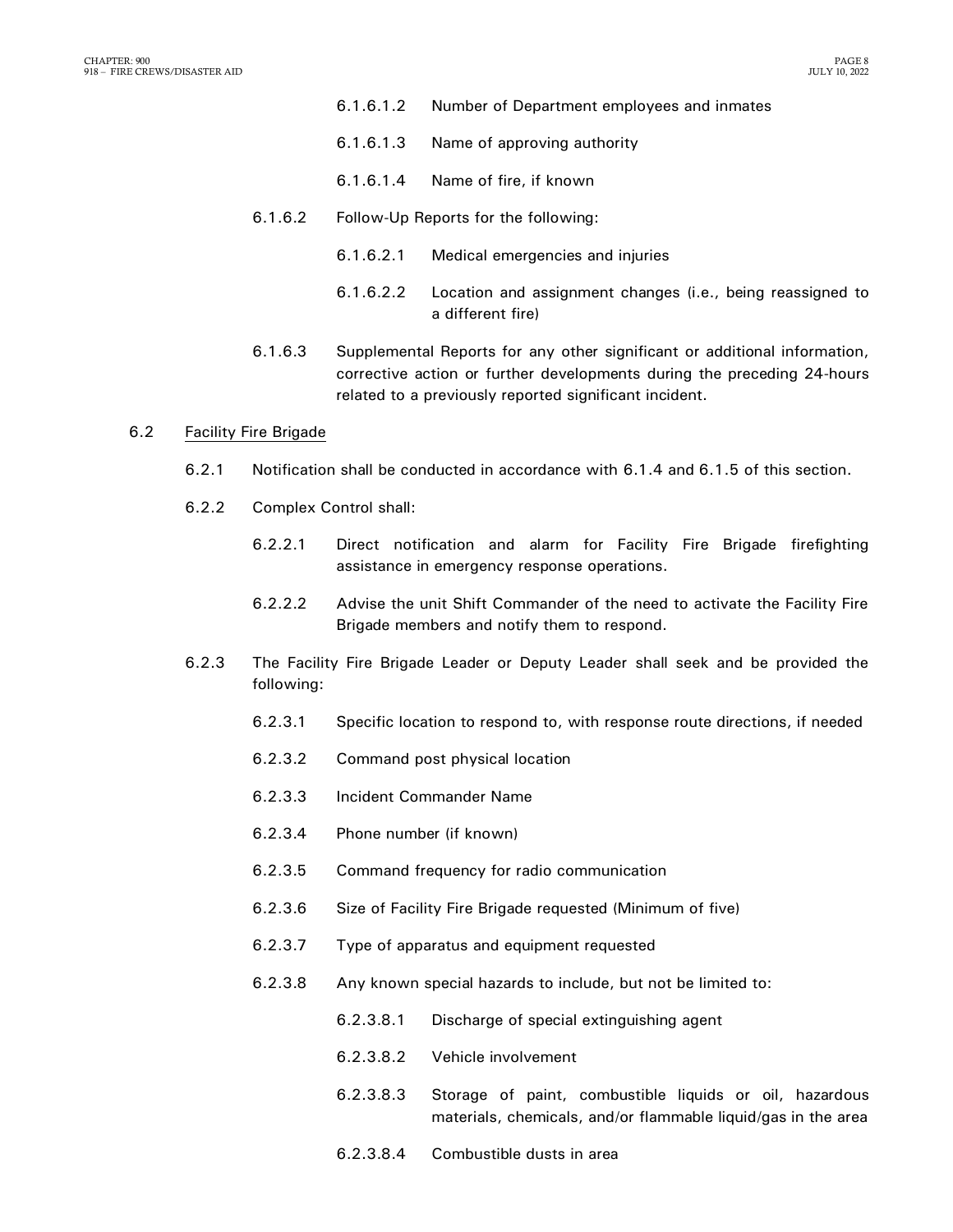- 6.1.6.1.2 Number of Department employees and inmates
- 6.1.6.1.3 Name of approving authority
- 6.1.6.1.4 Name of fire, if known
- 6.1.6.2 Follow-Up Reports for the following:
	- 6.1.6.2.1 Medical emergencies and injuries
	- 6.1.6.2.2 Location and assignment changes (i.e., being reassigned to a different fire)
- 6.1.6.3 Supplemental Reports for any other significant or additional information, corrective action or further developments during the preceding 24-hours related to a previously reported significant incident.

#### 6.2 Facility Fire Brigade

- 6.2.1 Notification shall be conducted in accordance with 6.1.4 and 6.1.5 of this section.
- 6.2.2 Complex Control shall:
	- 6.2.2.1 Direct notification and alarm for Facility Fire Brigade firefighting assistance in emergency response operations.
	- 6.2.2.2 Advise the unit Shift Commander of the need to activate the Facility Fire Brigade members and notify them to respond.
- 6.2.3 The Facility Fire Brigade Leader or Deputy Leader shall seek and be provided the following:
	- 6.2.3.1 Specific location to respond to, with response route directions, if needed
	- 6.2.3.2 Command post physical location
	- 6.2.3.3 Incident Commander Name
	- 6.2.3.4 Phone number (if known)
	- 6.2.3.5 Command frequency for radio communication
	- 6.2.3.6 Size of Facility Fire Brigade requested (Minimum of five)
	- 6.2.3.7 Type of apparatus and equipment requested
	- 6.2.3.8 Any known special hazards to include, but not be limited to:
		- 6.2.3.8.1 Discharge of special extinguishing agent
		- 6.2.3.8.2 Vehicle involvement
		- 6.2.3.8.3 Storage of paint, combustible liquids or oil, hazardous materials, chemicals, and/or flammable liquid/gas in the area
		- 6.2.3.8.4 Combustible dusts in area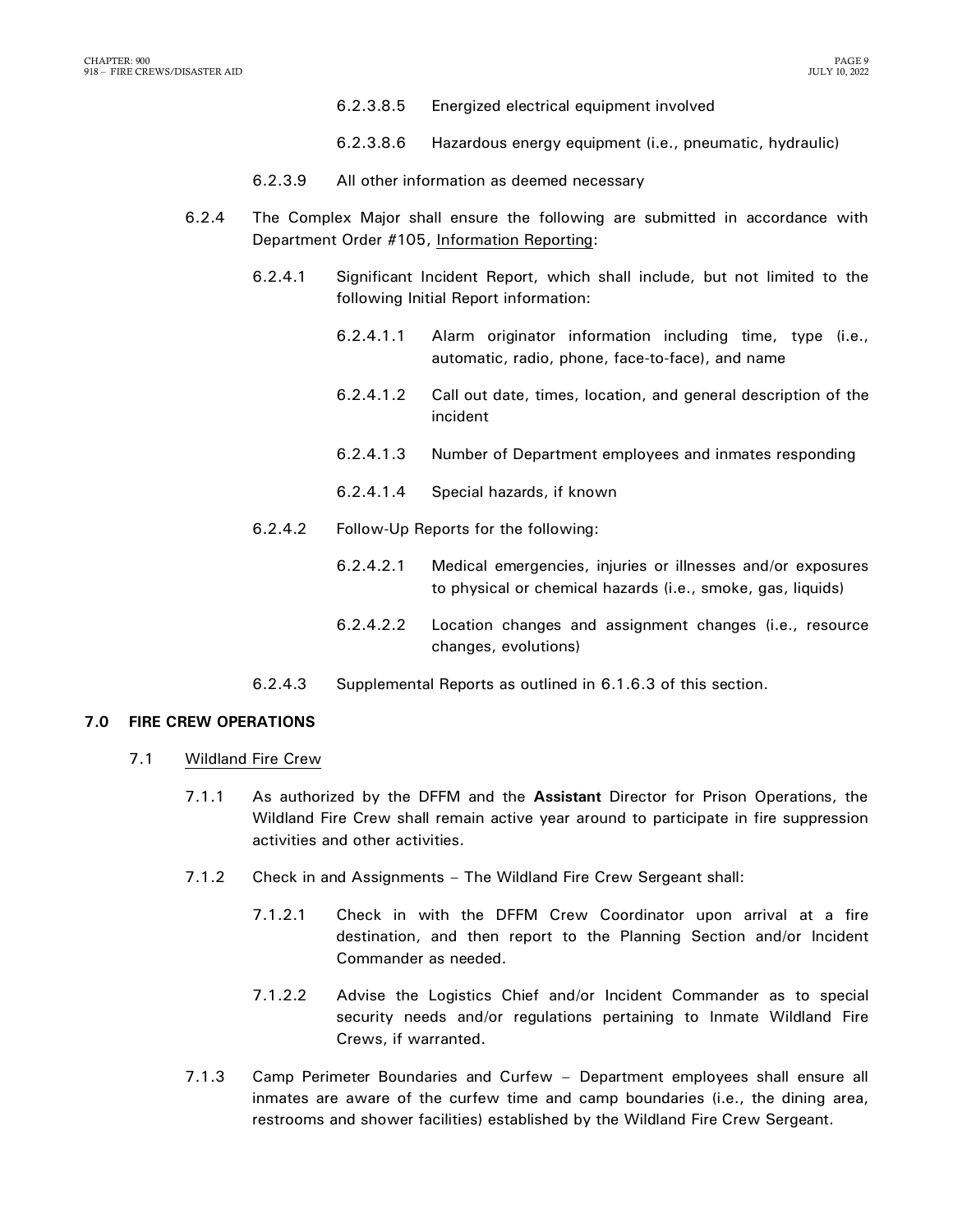- 6.2.3.8.5 Energized electrical equipment involved
- 6.2.3.8.6 Hazardous energy equipment (i.e., pneumatic, hydraulic)
- 6.2.3.9 All other information as deemed necessary
- 6.2.4 The Complex Major shall ensure the following are submitted in accordance with Department Order #105, Information Reporting:
	- 6.2.4.1 Significant Incident Report, which shall include, but not limited to the following Initial Report information:
		- 6.2.4.1.1 Alarm originator information including time, type (i.e., automatic, radio, phone, face-to-face), and name
		- 6.2.4.1.2 Call out date, times, location, and general description of the incident
		- 6.2.4.1.3 Number of Department employees and inmates responding
		- 6.2.4.1.4 Special hazards, if known
	- 6.2.4.2 Follow-Up Reports for the following:
		- 6.2.4.2.1 Medical emergencies, injuries or illnesses and/or exposures to physical or chemical hazards (i.e., smoke, gas, liquids)
		- 6.2.4.2.2 Location changes and assignment changes (i.e., resource changes, evolutions)
	- 6.2.4.3 Supplemental Reports as outlined in 6.1.6.3 of this section.

#### <span id="page-10-0"></span>**7.0 FIRE CREW OPERATIONS**

- 7.1 Wildland Fire Crew
	- 7.1.1 As authorized by the DFFM and the **Assistant** Director for Prison Operations, the Wildland Fire Crew shall remain active year around to participate in fire suppression activities and other activities.
	- 7.1.2 Check in and Assignments The Wildland Fire Crew Sergeant shall:
		- 7.1.2.1 Check in with the DFFM Crew Coordinator upon arrival at a fire destination, and then report to the Planning Section and/or Incident Commander as needed.
		- 7.1.2.2 Advise the Logistics Chief and/or Incident Commander as to special security needs and/or regulations pertaining to Inmate Wildland Fire Crews, if warranted.
	- 7.1.3 Camp Perimeter Boundaries and Curfew Department employees shall ensure all inmates are aware of the curfew time and camp boundaries (i.e., the dining area, restrooms and shower facilities) established by the Wildland Fire Crew Sergeant.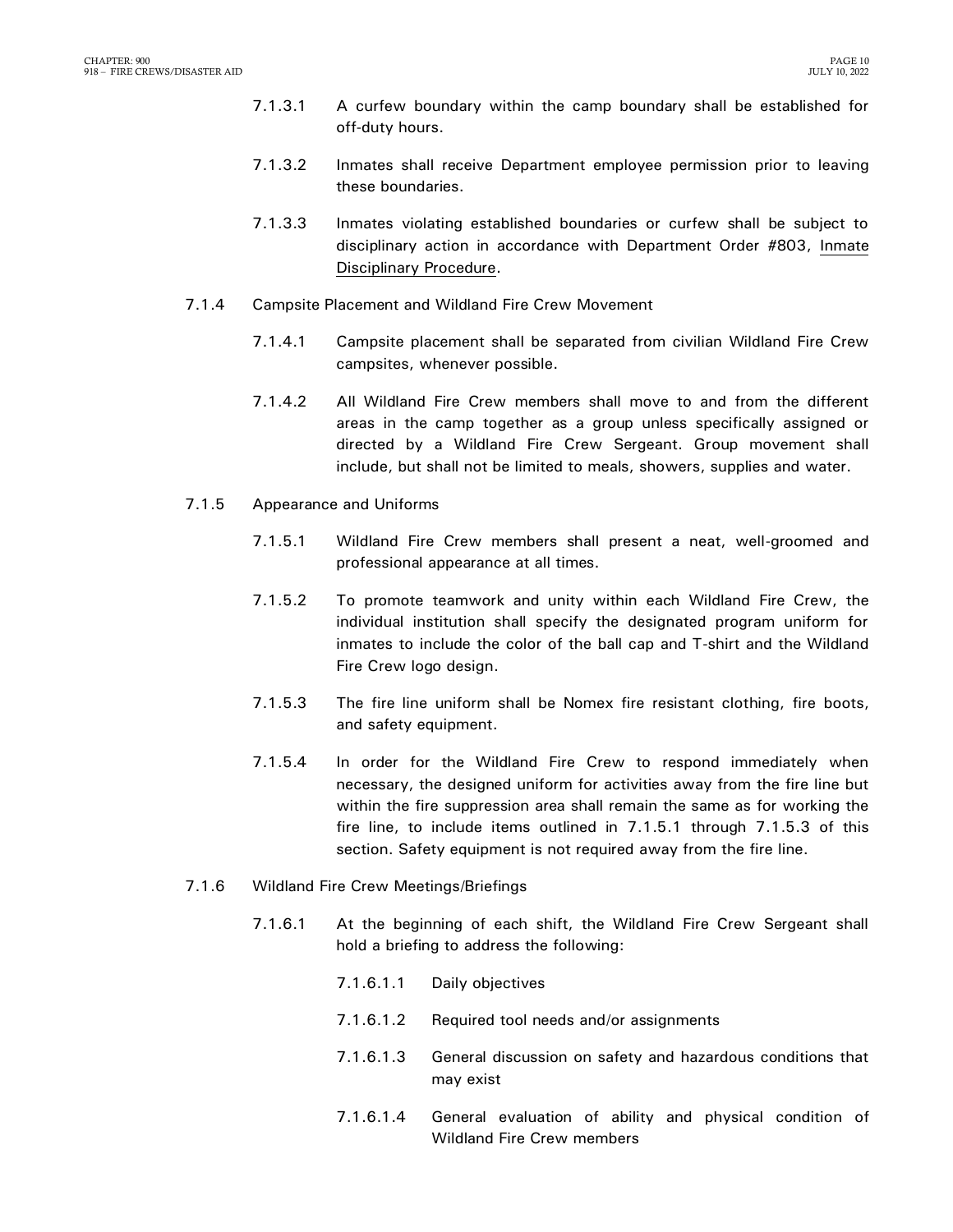- 7.1.3.1 A curfew boundary within the camp boundary shall be established for off-duty hours.
- 7.1.3.2 Inmates shall receive Department employee permission prior to leaving these boundaries.
- 7.1.3.3 Inmates violating established boundaries or curfew shall be subject to disciplinary action in accordance with Department Order #803, Inmate Disciplinary Procedure.
- 7.1.4 Campsite Placement and Wildland Fire Crew Movement
	- 7.1.4.1 Campsite placement shall be separated from civilian Wildland Fire Crew campsites, whenever possible.
	- 7.1.4.2 All Wildland Fire Crew members shall move to and from the different areas in the camp together as a group unless specifically assigned or directed by a Wildland Fire Crew Sergeant. Group movement shall include, but shall not be limited to meals, showers, supplies and water.
- 7.1.5 Appearance and Uniforms
	- 7.1.5.1 Wildland Fire Crew members shall present a neat, well-groomed and professional appearance at all times.
	- 7.1.5.2 To promote teamwork and unity within each Wildland Fire Crew, the individual institution shall specify the designated program uniform for inmates to include the color of the ball cap and T-shirt and the Wildland Fire Crew logo design.
	- 7.1.5.3 The fire line uniform shall be Nomex fire resistant clothing, fire boots, and safety equipment.
	- 7.1.5.4 In order for the Wildland Fire Crew to respond immediately when necessary, the designed uniform for activities away from the fire line but within the fire suppression area shall remain the same as for working the fire line, to include items outlined in 7.1.5.1 through 7.1.5.3 of this section. Safety equipment is not required away from the fire line.
- 7.1.6 Wildland Fire Crew Meetings/Briefings
	- 7.1.6.1 At the beginning of each shift, the Wildland Fire Crew Sergeant shall hold a briefing to address the following:
		- 7.1.6.1.1 Daily objectives
		- 7.1.6.1.2 Required tool needs and/or assignments
		- 7.1.6.1.3 General discussion on safety and hazardous conditions that may exist
		- 7.1.6.1.4 General evaluation of ability and physical condition of Wildland Fire Crew members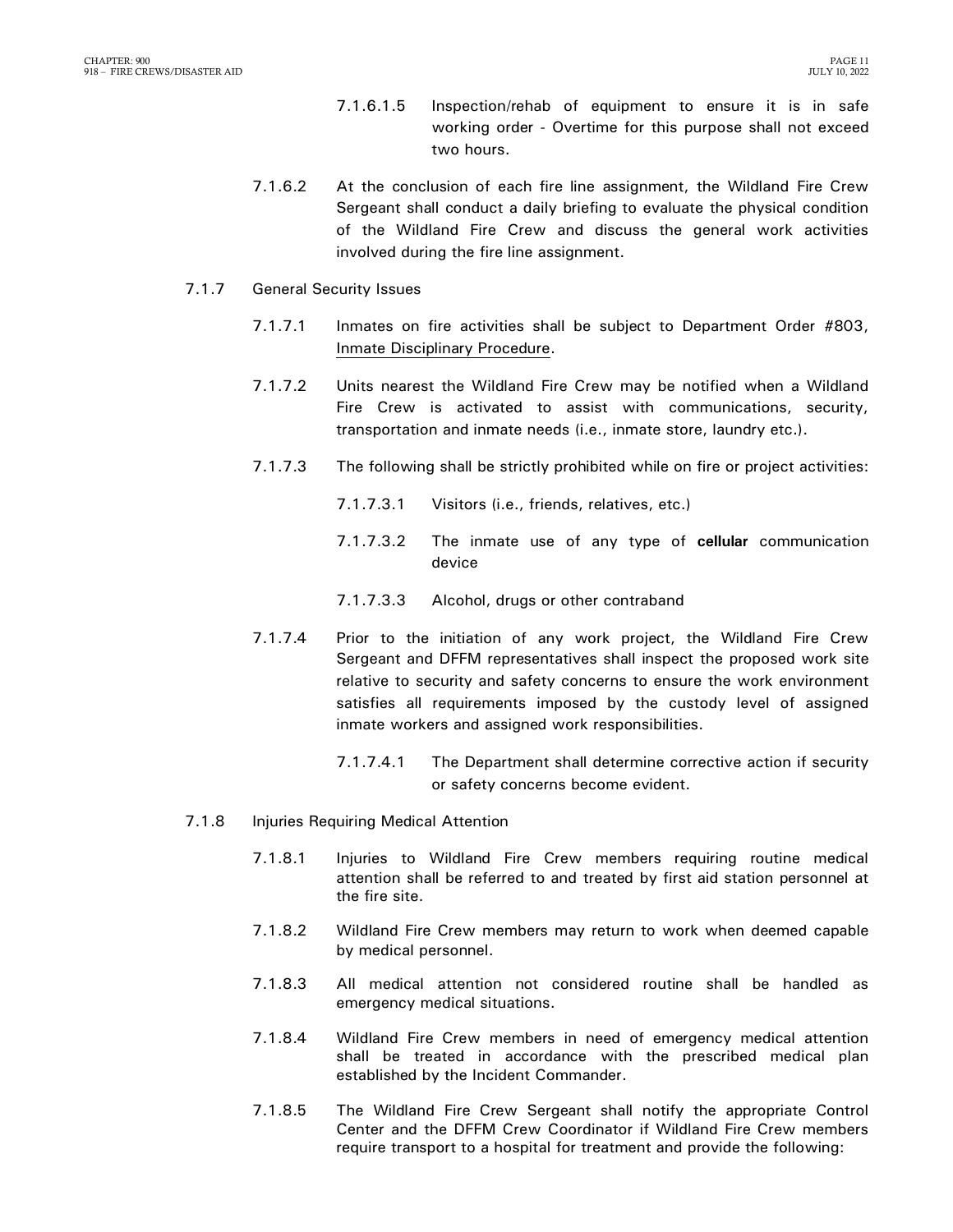- 7.1.6.1.5 Inspection/rehab of equipment to ensure it is in safe working order - Overtime for this purpose shall not exceed two hours.
- 7.1.6.2 At the conclusion of each fire line assignment, the Wildland Fire Crew Sergeant shall conduct a daily briefing to evaluate the physical condition of the Wildland Fire Crew and discuss the general work activities involved during the fire line assignment.
- 7.1.7 General Security Issues
	- 7.1.7.1 Inmates on fire activities shall be subject to Department Order #803, Inmate Disciplinary Procedure.
	- 7.1.7.2 Units nearest the Wildland Fire Crew may be notified when a Wildland Fire Crew is activated to assist with communications, security, transportation and inmate needs (i.e., inmate store, laundry etc.).
	- 7.1.7.3 The following shall be strictly prohibited while on fire or project activities:
		- 7.1.7.3.1 Visitors (i.e., friends, relatives, etc.)
		- 7.1.7.3.2 The inmate use of any type of **cellular** communication device
		- 7.1.7.3.3 Alcohol, drugs or other contraband
	- 7.1.7.4 Prior to the initiation of any work project, the Wildland Fire Crew Sergeant and DFFM representatives shall inspect the proposed work site relative to security and safety concerns to ensure the work environment satisfies all requirements imposed by the custody level of assigned inmate workers and assigned work responsibilities.
		- 7.1.7.4.1 The Department shall determine corrective action if security or safety concerns become evident.
- 7.1.8 Injuries Requiring Medical Attention
	- 7.1.8.1 Injuries to Wildland Fire Crew members requiring routine medical attention shall be referred to and treated by first aid station personnel at the fire site.
	- 7.1.8.2 Wildland Fire Crew members may return to work when deemed capable by medical personnel.
	- 7.1.8.3 All medical attention not considered routine shall be handled as emergency medical situations.
	- 7.1.8.4 Wildland Fire Crew members in need of emergency medical attention shall be treated in accordance with the prescribed medical plan established by the Incident Commander.
	- 7.1.8.5 The Wildland Fire Crew Sergeant shall notify the appropriate Control Center and the DFFM Crew Coordinator if Wildland Fire Crew members require transport to a hospital for treatment and provide the following: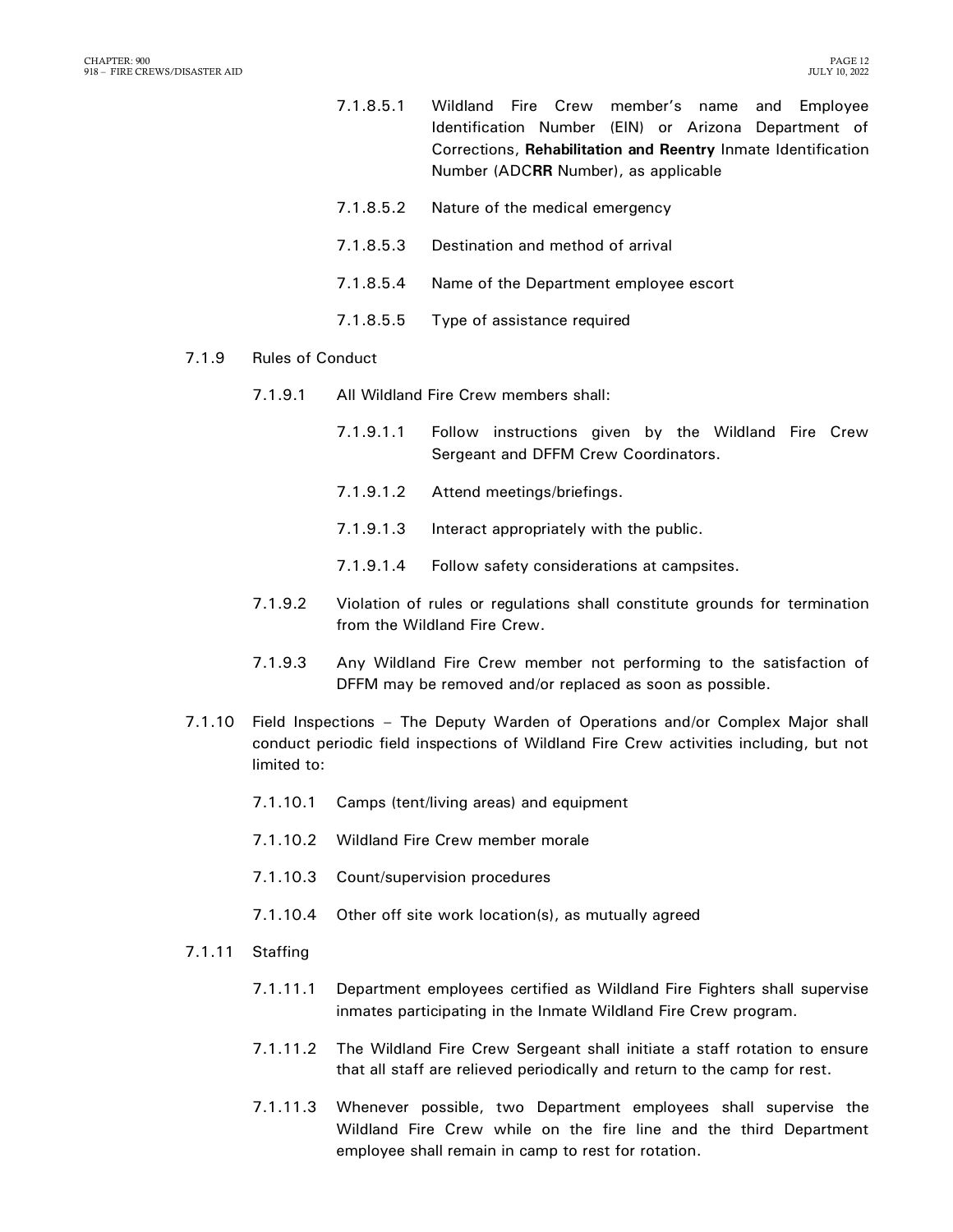- 7.1.8.5.1 Wildland Fire Crew member's name and Employee Identification Number (EIN) or Arizona Department of Corrections, **Rehabilitation and Reentry** Inmate Identification Number (ADC**RR** Number), as applicable
- 7.1.8.5.2 Nature of the medical emergency
- 7.1.8.5.3 Destination and method of arrival
- 7.1.8.5.4 Name of the Department employee escort
- 7.1.8.5.5 Type of assistance required

#### 7.1.9 Rules of Conduct

- 7.1.9.1 All Wildland Fire Crew members shall:
	- 7.1.9.1.1 Follow instructions given by the Wildland Fire Crew Sergeant and DFFM Crew Coordinators.
	- 7.1.9.1.2 Attend meetings/briefings.
	- 7.1.9.1.3 Interact appropriately with the public.
	- 7.1.9.1.4 Follow safety considerations at campsites.
- 7.1.9.2 Violation of rules or regulations shall constitute grounds for termination from the Wildland Fire Crew.
- 7.1.9.3 Any Wildland Fire Crew member not performing to the satisfaction of DFFM may be removed and/or replaced as soon as possible.
- 7.1.10 Field Inspections The Deputy Warden of Operations and/or Complex Major shall conduct periodic field inspections of Wildland Fire Crew activities including, but not limited to:
	- 7.1.10.1 Camps (tent/living areas) and equipment
	- 7.1.10.2 Wildland Fire Crew member morale
	- 7.1.10.3 Count/supervision procedures
	- 7.1.10.4 Other off site work location(s), as mutually agreed
- 7.1.11 Staffing
	- 7.1.11.1 Department employees certified as Wildland Fire Fighters shall supervise inmates participating in the Inmate Wildland Fire Crew program.
	- 7.1.11.2 The Wildland Fire Crew Sergeant shall initiate a staff rotation to ensure that all staff are relieved periodically and return to the camp for rest.
	- 7.1.11.3 Whenever possible, two Department employees shall supervise the Wildland Fire Crew while on the fire line and the third Department employee shall remain in camp to rest for rotation.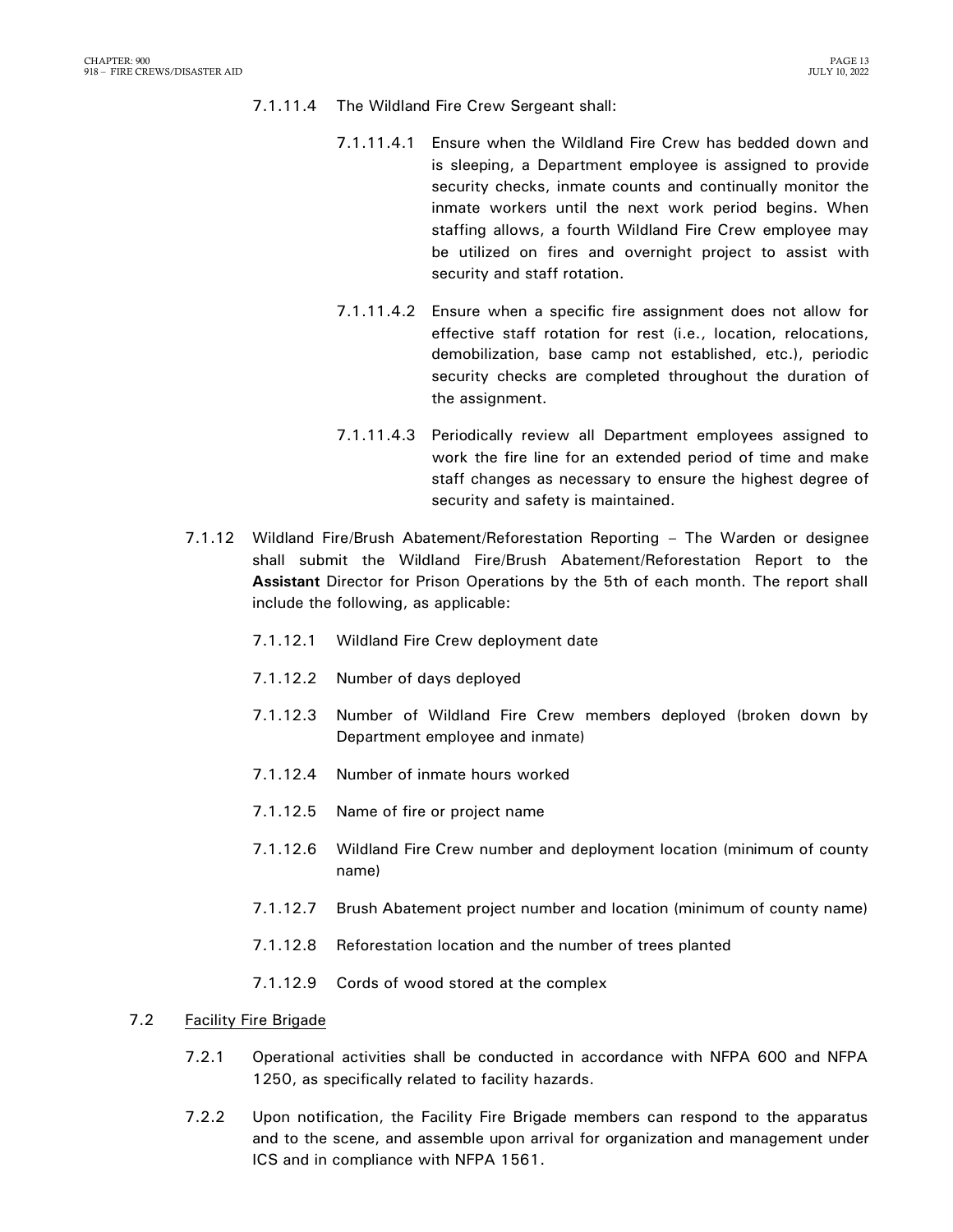- 7.1.11.4 The Wildland Fire Crew Sergeant shall:
	- 7.1.11.4.1 Ensure when the Wildland Fire Crew has bedded down and is sleeping, a Department employee is assigned to provide security checks, inmate counts and continually monitor the inmate workers until the next work period begins. When staffing allows, a fourth Wildland Fire Crew employee may be utilized on fires and overnight project to assist with security and staff rotation.
	- 7.1.11.4.2 Ensure when a specific fire assignment does not allow for effective staff rotation for rest (i.e., location, relocations, demobilization, base camp not established, etc.), periodic security checks are completed throughout the duration of the assignment.
	- 7.1.11.4.3 Periodically review all Department employees assigned to work the fire line for an extended period of time and make staff changes as necessary to ensure the highest degree of security and safety is maintained.
- 7.1.12 Wildland Fire/Brush Abatement/Reforestation Reporting The Warden or designee shall submit the Wildland Fire/Brush Abatement/Reforestation Report to the **Assistant** Director for Prison Operations by the 5th of each month. The report shall include the following, as applicable:
	- 7.1.12.1 Wildland Fire Crew deployment date
	- 7.1.12.2 Number of days deployed
	- 7.1.12.3 Number of Wildland Fire Crew members deployed (broken down by Department employee and inmate)
	- 7.1.12.4 Number of inmate hours worked
	- 7.1.12.5 Name of fire or project name
	- 7.1.12.6 Wildland Fire Crew number and deployment location (minimum of county name)
	- 7.1.12.7 Brush Abatement project number and location (minimum of county name)
	- 7.1.12.8 Reforestation location and the number of trees planted
	- 7.1.12.9 Cords of wood stored at the complex

### 7.2 Facility Fire Brigade

- 7.2.1 Operational activities shall be conducted in accordance with NFPA 600 and NFPA 1250, as specifically related to facility hazards.
- 7.2.2 Upon notification, the Facility Fire Brigade members can respond to the apparatus and to the scene, and assemble upon arrival for organization and management under ICS and in compliance with NFPA 1561.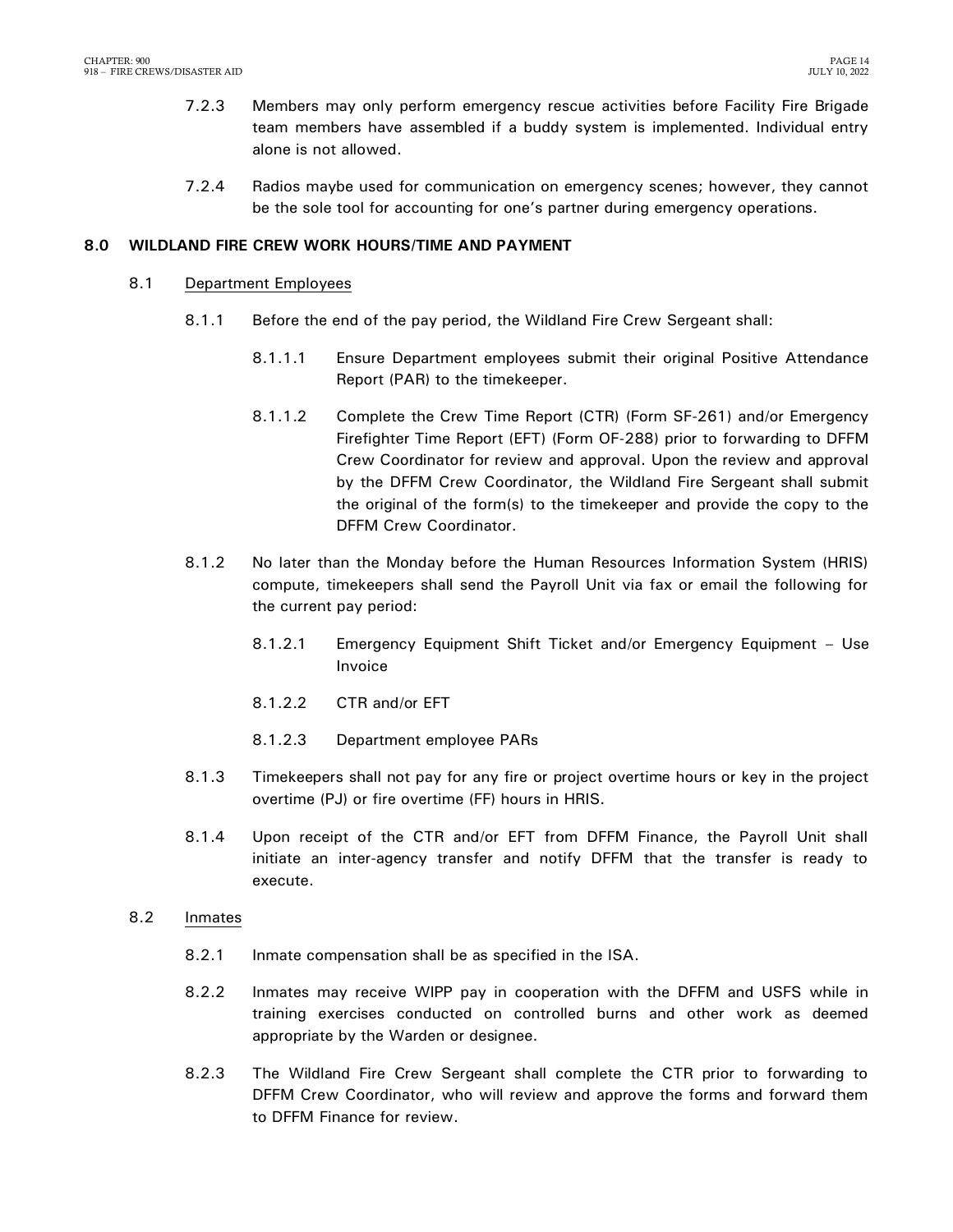- 7.2.3 Members may only perform emergency rescue activities before Facility Fire Brigade team members have assembled if a buddy system is implemented. Individual entry alone is not allowed.
- 7.2.4 Radios maybe used for communication on emergency scenes; however, they cannot be the sole tool for accounting for one's partner during emergency operations.

#### <span id="page-15-0"></span>**8.0 WILDLAND FIRE CREW WORK HOURS/TIME AND PAYMENT**

- 8.1 Department Employees
	- 8.1.1 Before the end of the pay period, the Wildland Fire Crew Sergeant shall:
		- 8.1.1.1 Ensure Department employees submit their original Positive Attendance Report (PAR) to the timekeeper.
		- 8.1.1.2 Complete the Crew Time Report (CTR) (Form SF-261) and/or Emergency Firefighter Time Report (EFT) (Form OF-288) prior to forwarding to DFFM Crew Coordinator for review and approval. Upon the review and approval by the DFFM Crew Coordinator, the Wildland Fire Sergeant shall submit the original of the form(s) to the timekeeper and provide the copy to the DFFM Crew Coordinator.
	- 8.1.2 No later than the Monday before the Human Resources Information System (HRIS) compute, timekeepers shall send the Payroll Unit via fax or email the following for the current pay period:
		- 8.1.2.1 Emergency Equipment Shift Ticket and/or Emergency Equipment Use Invoice
		- 8.1.2.2 CTR and/or EFT
		- 8.1.2.3 Department employee PARs
	- 8.1.3 Timekeepers shall not pay for any fire or project overtime hours or key in the project overtime (PJ) or fire overtime (FF) hours in HRIS.
	- 8.1.4 Upon receipt of the CTR and/or EFT from DFFM Finance, the Payroll Unit shall initiate an inter-agency transfer and notify DFFM that the transfer is ready to execute.
- 8.2 Inmates
	- 8.2.1 Inmate compensation shall be as specified in the ISA.
	- 8.2.2 Inmates may receive WIPP pay in cooperation with the DFFM and USFS while in training exercises conducted on controlled burns and other work as deemed appropriate by the Warden or designee.
	- 8.2.3 The Wildland Fire Crew Sergeant shall complete the CTR prior to forwarding to DFFM Crew Coordinator, who will review and approve the forms and forward them to DFFM Finance for review.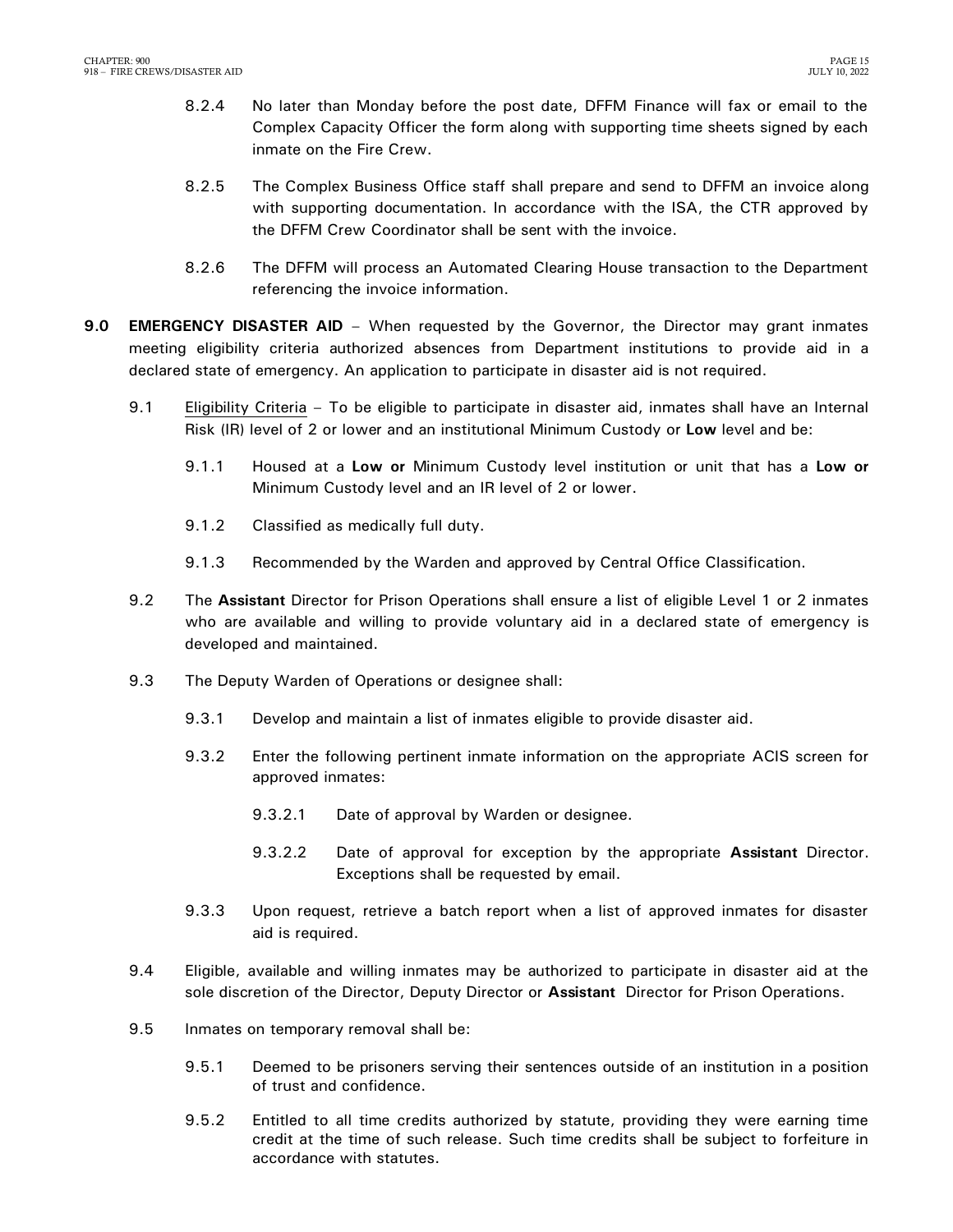- 8.2.4 No later than Monday before the post date, DFFM Finance will fax or email to the Complex Capacity Officer the form along with supporting time sheets signed by each inmate on the Fire Crew.
- 8.2.5 The Complex Business Office staff shall prepare and send to DFFM an invoice along with supporting documentation. In accordance with the ISA, the CTR approved by the DFFM Crew Coordinator shall be sent with the invoice.
- 8.2.6 The DFFM will process an Automated Clearing House transaction to the Department referencing the invoice information.
- <span id="page-16-0"></span>**9.0 EMERGENCY DISASTER AID** – When requested by the Governor, the Director may grant inmates meeting eligibility criteria authorized absences from Department institutions to provide aid in a declared state of emergency. An application to participate in disaster aid is not required.
	- 9.1 Eligibility Criteria To be eligible to participate in disaster aid, inmates shall have an Internal Risk (IR) level of 2 or lower and an institutional Minimum Custody or **Low** level and be:
		- 9.1.1 Housed at a **Low or** Minimum Custody level institution or unit that has a **Low or** Minimum Custody level and an IR level of 2 or lower.
		- 9.1.2 Classified as medically full duty.
		- 9.1.3 Recommended by the Warden and approved by Central Office Classification.
	- 9.2 The **Assistant** Director for Prison Operations shall ensure a list of eligible Level 1 or 2 inmates who are available and willing to provide voluntary aid in a declared state of emergency is developed and maintained.
	- 9.3 The Deputy Warden of Operations or designee shall:
		- 9.3.1 Develop and maintain a list of inmates eligible to provide disaster aid.
		- 9.3.2 Enter the following pertinent inmate information on the appropriate ACIS screen for approved inmates:
			- 9.3.2.1 Date of approval by Warden or designee.
			- 9.3.2.2 Date of approval for exception by the appropriate **Assistant** Director. Exceptions shall be requested by email.
		- 9.3.3 Upon request, retrieve a batch report when a list of approved inmates for disaster aid is required.
	- 9.4 Eligible, available and willing inmates may be authorized to participate in disaster aid at the sole discretion of the Director, Deputy Director or **Assistant** Director for Prison Operations.
	- 9.5 Inmates on temporary removal shall be:
		- 9.5.1 Deemed to be prisoners serving their sentences outside of an institution in a position of trust and confidence.
		- 9.5.2 Entitled to all time credits authorized by statute, providing they were earning time credit at the time of such release. Such time credits shall be subject to forfeiture in accordance with statutes.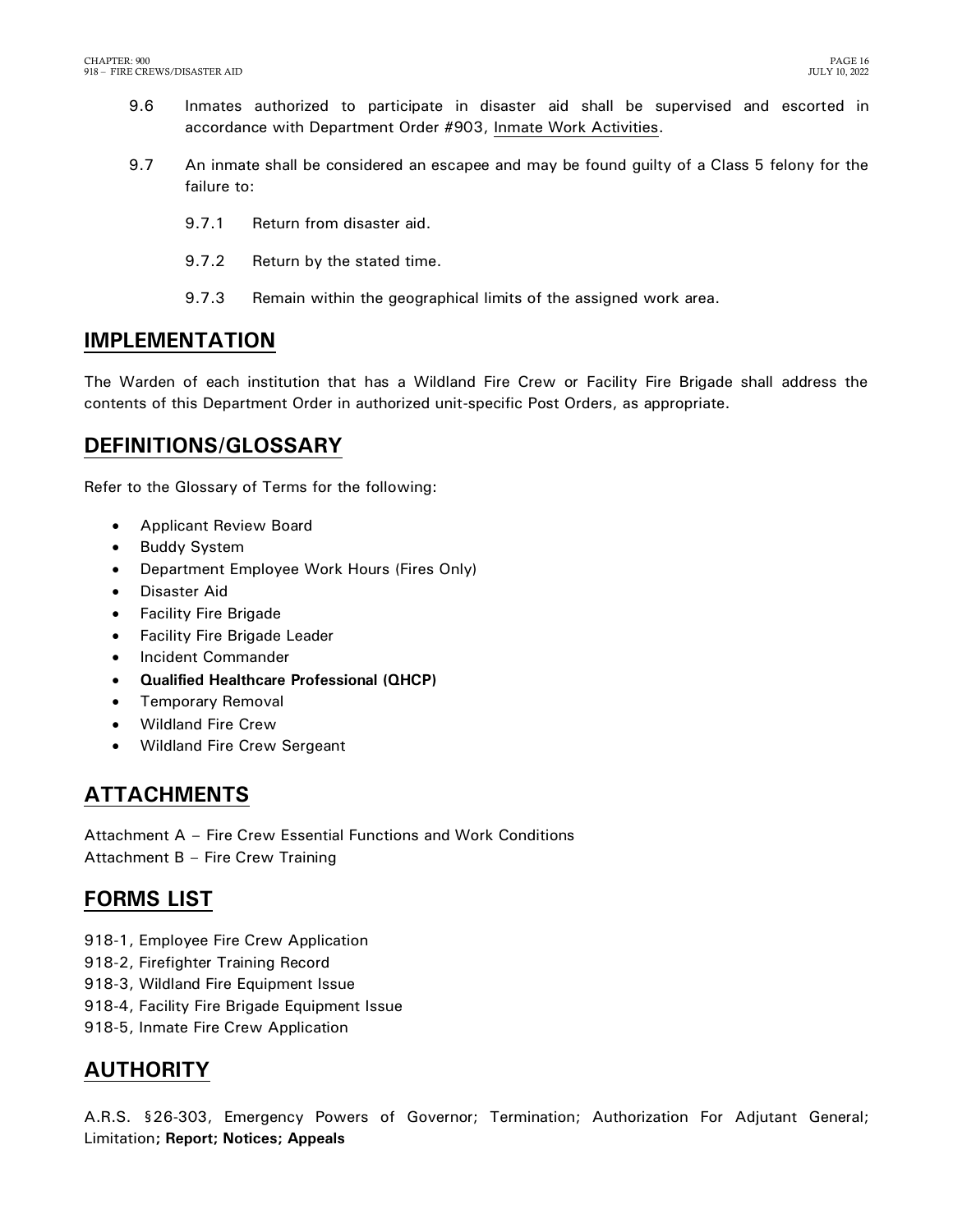- 9.6 Inmates authorized to participate in disaster aid shall be supervised and escorted in accordance with Department Order #903, Inmate Work Activities.
- 9.7 An inmate shall be considered an escapee and may be found guilty of a Class 5 felony for the failure to:
	- 9.7.1 Return from disaster aid.
	- 9.7.2 Return by the stated time.
	- 9.7.3 Remain within the geographical limits of the assigned work area.

## <span id="page-17-0"></span>**IMPLEMENTATION**

The Warden of each institution that has a Wildland Fire Crew or Facility Fire Brigade shall address the contents of this Department Order in authorized unit-specific Post Orders, as appropriate.

## <span id="page-17-1"></span>**DEFINITIONS/GLOSSARY**

Refer to the Glossary of Terms for the following:

- <span id="page-17-2"></span>Applicant Review Board
- Buddy System
- Department Employee Work Hours (Fires Only)
- Disaster Aid
- **•** Facility Fire Brigade
- Facility Fire Brigade Leader
- Incident Commander
- **Qualified Healthcare Professional (QHCP)**
- Temporary Removal
- Wildland Fire Crew
- Wildland Fire Crew Sergeant

## **ATTACHMENTS**

Attachment A – Fire Crew Essential Functions and Work Conditions Attachment B – Fire Crew Training

## <span id="page-17-3"></span>**FORMS LIST**

- 918-1, Employee Fire Crew Application
- 918-2, Firefighter Training Record
- 918-3, Wildland Fire Equipment Issue
- 918-4, Facility Fire Brigade Equipment Issue
- 918-5, Inmate Fire Crew Application

## <span id="page-17-4"></span>**AUTHORITY**

A.R.S. §26-303, Emergency Powers of Governor; Termination; Authorization For Adjutant General; Limitation**; Report; Notices; Appeals**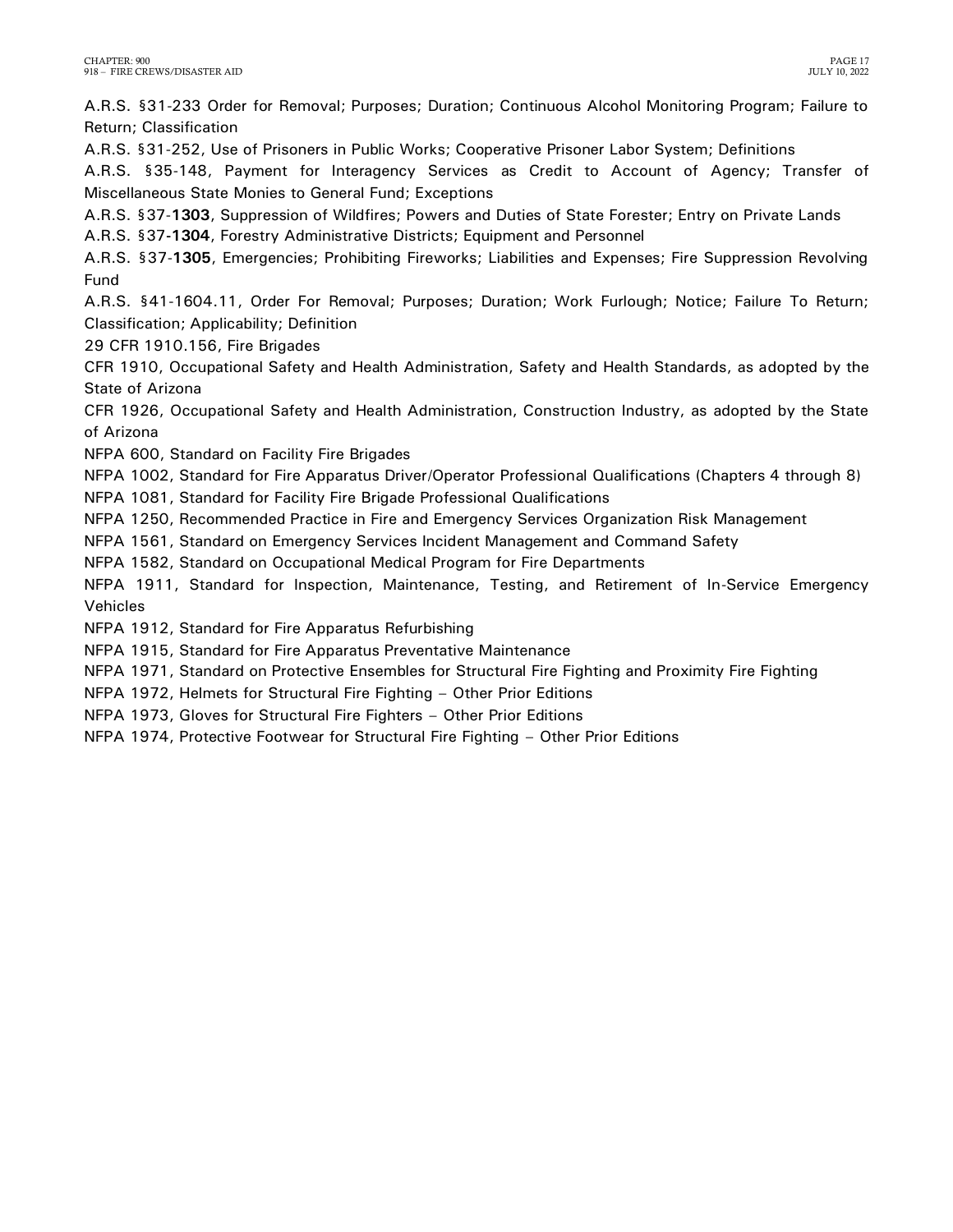A.R.S. §31-233 Order for Removal; Purposes; Duration; Continuous Alcohol Monitoring Program; Failure to Return; Classification

A.R.S. §31-252, Use of Prisoners in Public Works; Cooperative Prisoner Labor System; Definitions

A.R.S. §35-148, Payment for Interagency Services as Credit to Account of Agency; Transfer of Miscellaneous State Monies to General Fund; Exceptions

A.R.S. §37-**1303**, Suppression of Wildfires; Powers and Duties of State Forester; Entry on Private Lands A.R.S. §37**-1304**, Forestry Administrative Districts; Equipment and Personnel

A.R.S. §37-**1305**, Emergencies; Prohibiting Fireworks; Liabilities and Expenses; Fire Suppression Revolving Fund

A.R.S. §41-1604.11, Order For Removal; Purposes; Duration; Work Furlough; Notice; Failure To Return; Classification; Applicability; Definition

29 CFR 1910.156, Fire Brigades

CFR 1910, Occupational Safety and Health Administration, Safety and Health Standards, as adopted by the State of Arizona

CFR 1926, Occupational Safety and Health Administration, Construction Industry, as adopted by the State of Arizona

NFPA 600, Standard on Facility Fire Brigades

NFPA 1002, Standard for Fire Apparatus Driver/Operator Professional Qualifications (Chapters 4 through 8)

NFPA 1081, Standard for Facility Fire Brigade Professional Qualifications

NFPA 1250, Recommended Practice in Fire and Emergency Services Organization Risk Management

NFPA 1561, Standard on Emergency Services Incident Management and Command Safety

NFPA 1582, Standard on Occupational Medical Program for Fire Departments

NFPA 1911, Standard for Inspection, Maintenance, Testing, and Retirement of In-Service Emergency Vehicles

NFPA 1912, Standard for Fire Apparatus Refurbishing

NFPA 1915, Standard for Fire Apparatus Preventative Maintenance

NFPA 1971, Standard on Protective Ensembles for Structural Fire Fighting and Proximity Fire Fighting

NFPA 1972, Helmets for Structural Fire Fighting – Other Prior Editions

NFPA 1973, Gloves for Structural Fire Fighters – Other Prior Editions

NFPA 1974, Protective Footwear for Structural Fire Fighting – Other Prior Editions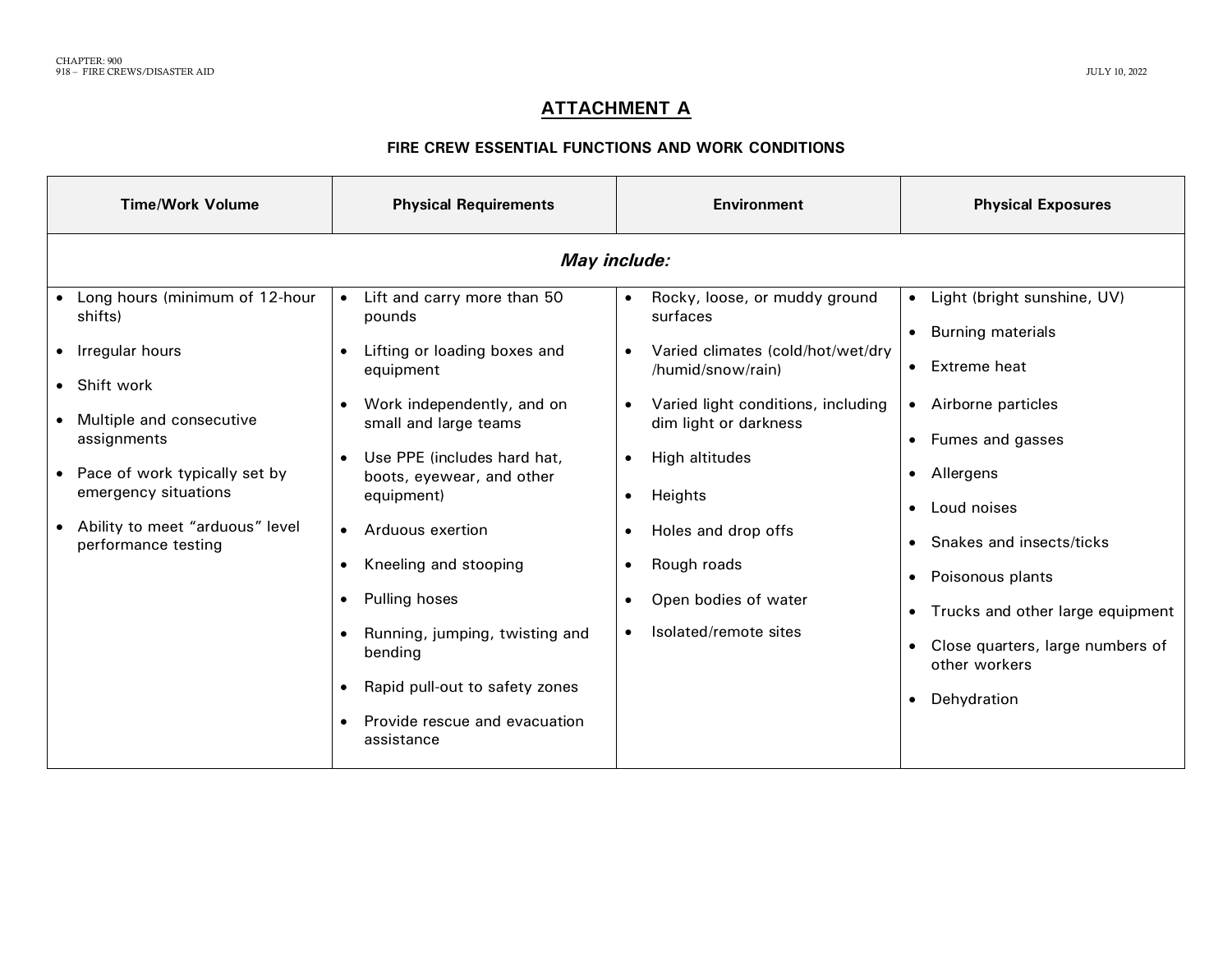## **ATTACHMENT A**

### **FIRE CREW ESSENTIAL FUNCTIONS AND WORK CONDITIONS**

| <b>Time/Work Volume</b>                                                                                                                                                              | <b>Physical Requirements</b>                                                                                                                                                                                                                                            | <b>Environment</b>                                                                                                                                                                                                           | <b>Physical Exposures</b>                                                                                                                                               |
|--------------------------------------------------------------------------------------------------------------------------------------------------------------------------------------|-------------------------------------------------------------------------------------------------------------------------------------------------------------------------------------------------------------------------------------------------------------------------|------------------------------------------------------------------------------------------------------------------------------------------------------------------------------------------------------------------------------|-------------------------------------------------------------------------------------------------------------------------------------------------------------------------|
| Long hours (minimum of 12-hour<br>shifts)<br>• Irregular hours<br>• Shift work<br>Multiple and consecutive<br>assignments<br>• Pace of work typically set by<br>emergency situations | Lift and carry more than 50<br>$\bullet$<br>pounds<br>Lifting or loading boxes and<br>$\bullet$<br>equipment<br>Work independently, and on<br>$\bullet$<br>small and large teams<br>Use PPE (includes hard hat,<br>$\bullet$<br>boots, eyewear, and other<br>equipment) | May include:<br>Rocky, loose, or muddy ground<br>surfaces<br>Varied climates (cold/hot/wet/dry<br>/humid/snow/rain)<br>Varied light conditions, including<br>dim light or darkness<br>High altitudes<br>$\bullet$<br>Heights | • Light (bright sunshine, UV)<br><b>Burning materials</b><br>• Extreme heat<br>• Airborne particles<br>Fumes and gasses<br>$\bullet$<br>• Allergens                     |
| Ability to meet "arduous" level<br>performance testing                                                                                                                               | Arduous exertion<br>$\bullet$<br>Kneeling and stooping<br>$\bullet$<br>Pulling hoses<br>$\bullet$<br>Running, jumping, twisting and<br>$\bullet$<br>bending<br>Rapid pull-out to safety zones<br>$\bullet$<br>Provide rescue and evacuation<br>$\bullet$<br>assistance  | Holes and drop offs<br>Rough roads<br>Open bodies of water<br>Isolated/remote sites                                                                                                                                          | Loud noises<br>Snakes and insects/ticks<br>• Poisonous plants<br>• Trucks and other large equipment<br>Close quarters, large numbers of<br>other workers<br>Dehydration |